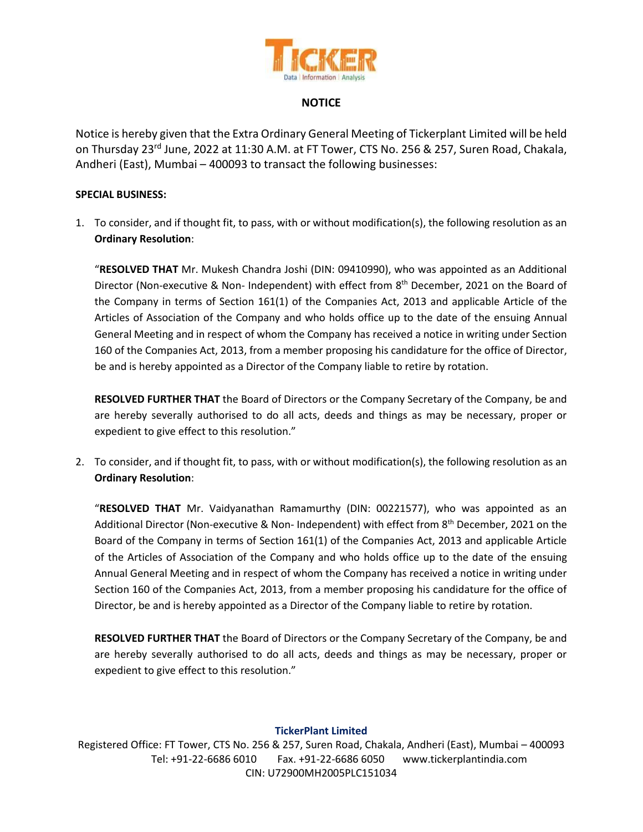

### **NOTICE**

Notice is hereby given that the Extra Ordinary General Meeting of Tickerplant Limited will be held on Thursday 23<sup>rd</sup> June, 2022 at 11:30 A.M. at FT Tower, CTS No. 256 & 257, Suren Road, Chakala, Andheri (East), Mumbai – 400093 to transact the following businesses:

#### **SPECIAL BUSINESS:**

1. To consider, and if thought fit, to pass, with or without modification(s), the following resolution as an **Ordinary Resolution**:

"**RESOLVED THAT** Mr. Mukesh Chandra Joshi (DIN: 09410990), who was appointed as an Additional Director (Non-executive & Non- Independent) with effect from 8<sup>th</sup> December, 2021 on the Board of the Company in terms of Section 161(1) of the Companies Act, 2013 and applicable Article of the Articles of Association of the Company and who holds office up to the date of the ensuing Annual General Meeting and in respect of whom the Company has received a notice in writing under Section 160 of the Companies Act, 2013, from a member proposing his candidature for the office of Director, be and is hereby appointed as a Director of the Company liable to retire by rotation.

**RESOLVED FURTHER THAT** the Board of Directors or the Company Secretary of the Company, be and are hereby severally authorised to do all acts, deeds and things as may be necessary, proper or expedient to give effect to this resolution."

2. To consider, and if thought fit, to pass, with or without modification(s), the following resolution as an **Ordinary Resolution**:

"**RESOLVED THAT** Mr. Vaidyanathan Ramamurthy (DIN: 00221577), who was appointed as an Additional Director (Non-executive & Non- Independent) with effect from 8<sup>th</sup> December, 2021 on the Board of the Company in terms of Section 161(1) of the Companies Act, 2013 and applicable Article of the Articles of Association of the Company and who holds office up to the date of the ensuing Annual General Meeting and in respect of whom the Company has received a notice in writing under Section 160 of the Companies Act, 2013, from a member proposing his candidature for the office of Director, be and is hereby appointed as a Director of the Company liable to retire by rotation.

**RESOLVED FURTHER THAT** the Board of Directors or the Company Secretary of the Company, be and are hereby severally authorised to do all acts, deeds and things as may be necessary, proper or expedient to give effect to this resolution."

#### **TickerPlant Limited**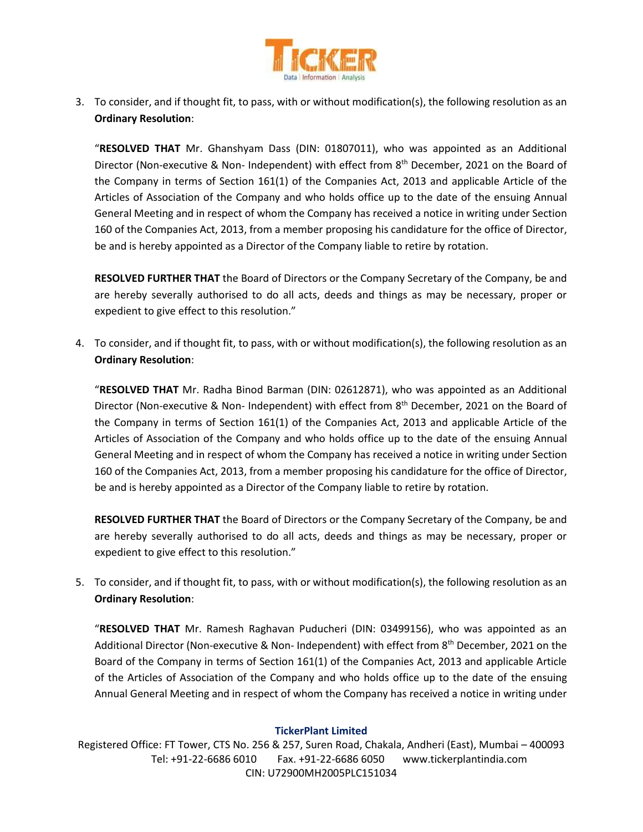

3. To consider, and if thought fit, to pass, with or without modification(s), the following resolution as an **Ordinary Resolution**:

"**RESOLVED THAT** Mr. Ghanshyam Dass (DIN: 01807011), who was appointed as an Additional Director (Non-executive & Non- Independent) with effect from 8<sup>th</sup> December, 2021 on the Board of the Company in terms of Section 161(1) of the Companies Act, 2013 and applicable Article of the Articles of Association of the Company and who holds office up to the date of the ensuing Annual General Meeting and in respect of whom the Company has received a notice in writing under Section 160 of the Companies Act, 2013, from a member proposing his candidature for the office of Director, be and is hereby appointed as a Director of the Company liable to retire by rotation.

**RESOLVED FURTHER THAT** the Board of Directors or the Company Secretary of the Company, be and are hereby severally authorised to do all acts, deeds and things as may be necessary, proper or expedient to give effect to this resolution."

4. To consider, and if thought fit, to pass, with or without modification(s), the following resolution as an **Ordinary Resolution**:

"**RESOLVED THAT** Mr. Radha Binod Barman (DIN: 02612871), who was appointed as an Additional Director (Non-executive & Non- Independent) with effect from 8<sup>th</sup> December, 2021 on the Board of the Company in terms of Section 161(1) of the Companies Act, 2013 and applicable Article of the Articles of Association of the Company and who holds office up to the date of the ensuing Annual General Meeting and in respect of whom the Company has received a notice in writing under Section 160 of the Companies Act, 2013, from a member proposing his candidature for the office of Director, be and is hereby appointed as a Director of the Company liable to retire by rotation.

**RESOLVED FURTHER THAT** the Board of Directors or the Company Secretary of the Company, be and are hereby severally authorised to do all acts, deeds and things as may be necessary, proper or expedient to give effect to this resolution."

5. To consider, and if thought fit, to pass, with or without modification(s), the following resolution as an **Ordinary Resolution**:

"**RESOLVED THAT** Mr. Ramesh Raghavan Puducheri (DIN: 03499156), who was appointed as an Additional Director (Non-executive & Non- Independent) with effect from 8<sup>th</sup> December, 2021 on the Board of the Company in terms of Section 161(1) of the Companies Act, 2013 and applicable Article of the Articles of Association of the Company and who holds office up to the date of the ensuing Annual General Meeting and in respect of whom the Company has received a notice in writing under

#### **TickerPlant Limited**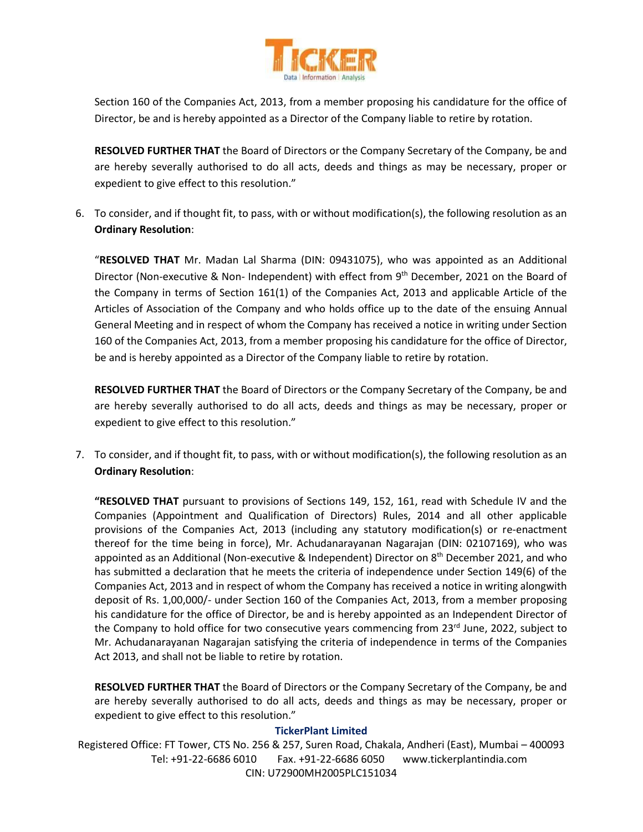

Section 160 of the Companies Act, 2013, from a member proposing his candidature for the office of Director, be and is hereby appointed as a Director of the Company liable to retire by rotation.

**RESOLVED FURTHER THAT** the Board of Directors or the Company Secretary of the Company, be and are hereby severally authorised to do all acts, deeds and things as may be necessary, proper or expedient to give effect to this resolution."

6. To consider, and if thought fit, to pass, with or without modification(s), the following resolution as an **Ordinary Resolution**:

"**RESOLVED THAT** Mr. Madan Lal Sharma (DIN: 09431075), who was appointed as an Additional Director (Non-executive & Non- Independent) with effect from 9<sup>th</sup> December, 2021 on the Board of the Company in terms of Section 161(1) of the Companies Act, 2013 and applicable Article of the Articles of Association of the Company and who holds office up to the date of the ensuing Annual General Meeting and in respect of whom the Company has received a notice in writing under Section 160 of the Companies Act, 2013, from a member proposing his candidature for the office of Director, be and is hereby appointed as a Director of the Company liable to retire by rotation.

**RESOLVED FURTHER THAT** the Board of Directors or the Company Secretary of the Company, be and are hereby severally authorised to do all acts, deeds and things as may be necessary, proper or expedient to give effect to this resolution."

7. To consider, and if thought fit, to pass, with or without modification(s), the following resolution as an **Ordinary Resolution**:

**"RESOLVED THAT** pursuant to provisions of Sections 149, 152, 161, read with Schedule IV and the Companies (Appointment and Qualification of Directors) Rules, 2014 and all other applicable provisions of the Companies Act, 2013 (including any statutory modification(s) or re-enactment thereof for the time being in force), Mr. Achudanarayanan Nagarajan (DIN: 02107169), who was appointed as an Additional (Non-executive & Independent) Director on 8<sup>th</sup> December 2021, and who has submitted a declaration that he meets the criteria of independence under Section 149(6) of the Companies Act, 2013 and in respect of whom the Company has received a notice in writing alongwith deposit of Rs. 1,00,000/- under Section 160 of the Companies Act, 2013, from a member proposing his candidature for the office of Director, be and is hereby appointed as an Independent Director of the Company to hold office for two consecutive years commencing from 23<sup>rd</sup> June, 2022, subject to Mr. Achudanarayanan Nagarajan satisfying the criteria of independence in terms of the Companies Act 2013, and shall not be liable to retire by rotation.

**RESOLVED FURTHER THAT** the Board of Directors or the Company Secretary of the Company, be and are hereby severally authorised to do all acts, deeds and things as may be necessary, proper or expedient to give effect to this resolution."

#### **TickerPlant Limited**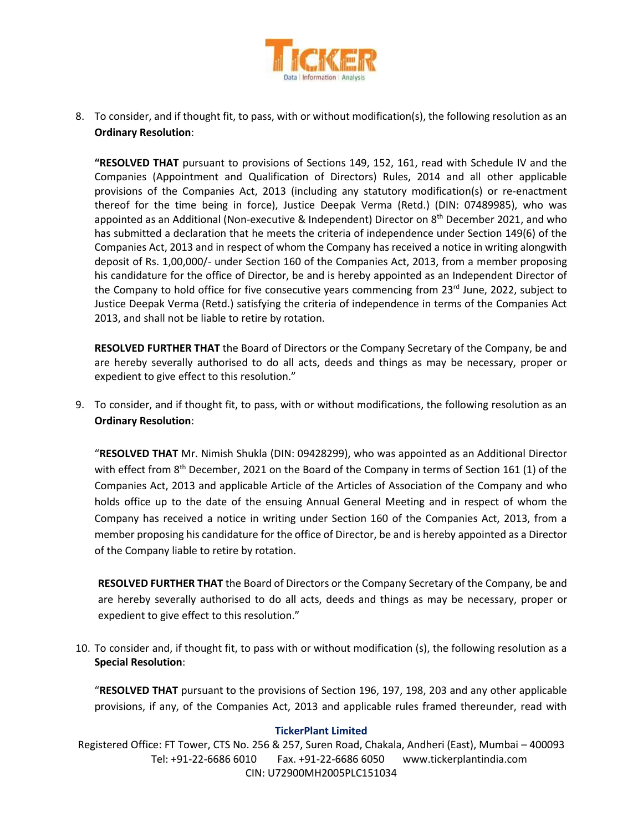

8. To consider, and if thought fit, to pass, with or without modification(s), the following resolution as an **Ordinary Resolution**:

**"RESOLVED THAT** pursuant to provisions of Sections 149, 152, 161, read with Schedule IV and the Companies (Appointment and Qualification of Directors) Rules, 2014 and all other applicable provisions of the Companies Act, 2013 (including any statutory modification(s) or re-enactment thereof for the time being in force), Justice Deepak Verma (Retd.) (DIN: 07489985), who was appointed as an Additional (Non-executive & Independent) Director on 8<sup>th</sup> December 2021, and who has submitted a declaration that he meets the criteria of independence under Section 149(6) of the Companies Act, 2013 and in respect of whom the Company has received a notice in writing alongwith deposit of Rs. 1,00,000/- under Section 160 of the Companies Act, 2013, from a member proposing his candidature for the office of Director, be and is hereby appointed as an Independent Director of the Company to hold office for five consecutive years commencing from 23<sup>rd</sup> June, 2022, subject to Justice Deepak Verma (Retd.) satisfying the criteria of independence in terms of the Companies Act 2013, and shall not be liable to retire by rotation.

**RESOLVED FURTHER THAT** the Board of Directors or the Company Secretary of the Company, be and are hereby severally authorised to do all acts, deeds and things as may be necessary, proper or expedient to give effect to this resolution."

9. To consider, and if thought fit, to pass, with or without modifications, the following resolution as an **Ordinary Resolution**:

"**RESOLVED THAT** Mr. Nimish Shukla (DIN: 09428299), who was appointed as an Additional Director with effect from 8<sup>th</sup> December, 2021 on the Board of the Company in terms of Section 161 (1) of the Companies Act, 2013 and applicable Article of the Articles of Association of the Company and who holds office up to the date of the ensuing Annual General Meeting and in respect of whom the Company has received a notice in writing under Section 160 of the Companies Act, 2013, from a member proposing his candidature for the office of Director, be and is hereby appointed as a Director of the Company liable to retire by rotation.

**RESOLVED FURTHER THAT** the Board of Directors or the Company Secretary of the Company, be and are hereby severally authorised to do all acts, deeds and things as may be necessary, proper or expedient to give effect to this resolution."

10. To consider and, if thought fit, to pass with or without modification (s), the following resolution as a **Special Resolution**:

"**RESOLVED THAT** pursuant to the provisions of Section 196, 197, 198, 203 and any other applicable provisions, if any, of the Companies Act, 2013 and applicable rules framed thereunder, read with

#### **TickerPlant Limited**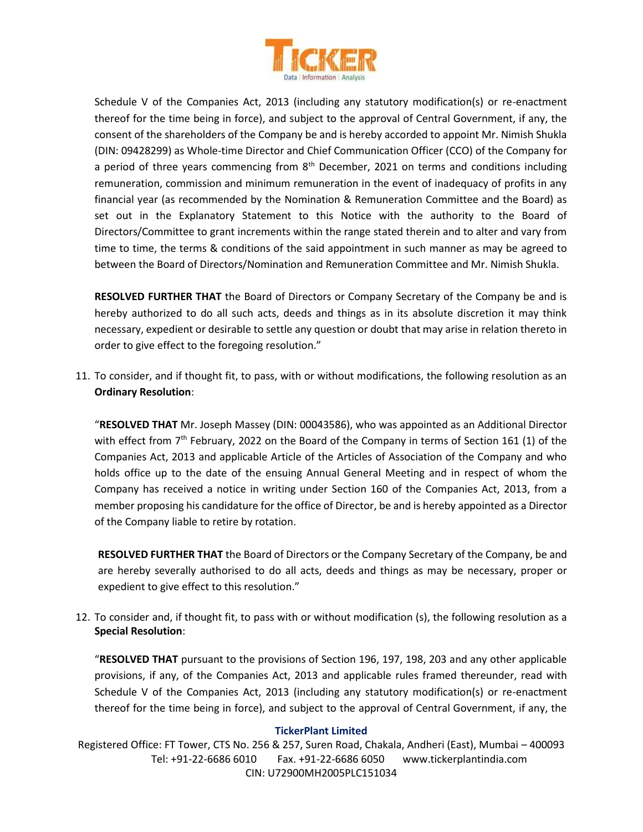

Schedule V of the Companies Act, 2013 (including any statutory modification(s) or re-enactment thereof for the time being in force), and subject to the approval of Central Government, if any, the consent of the shareholders of the Company be and is hereby accorded to appoint Mr. Nimish Shukla (DIN: 09428299) as Whole-time Director and Chief Communication Officer (CCO) of the Company for a period of three years commencing from 8<sup>th</sup> December, 2021 on terms and conditions including remuneration, commission and minimum remuneration in the event of inadequacy of profits in any financial year (as recommended by the Nomination & Remuneration Committee and the Board) as set out in the Explanatory Statement to this Notice with the authority to the Board of Directors/Committee to grant increments within the range stated therein and to alter and vary from time to time, the terms & conditions of the said appointment in such manner as may be agreed to between the Board of Directors/Nomination and Remuneration Committee and Mr. Nimish Shukla.

**RESOLVED FURTHER THAT** the Board of Directors or Company Secretary of the Company be and is hereby authorized to do all such acts, deeds and things as in its absolute discretion it may think necessary, expedient or desirable to settle any question or doubt that may arise in relation thereto in order to give effect to the foregoing resolution."

11. To consider, and if thought fit, to pass, with or without modifications, the following resolution as an **Ordinary Resolution**:

"**RESOLVED THAT** Mr. Joseph Massey (DIN: 00043586), who was appointed as an Additional Director with effect from 7<sup>th</sup> February, 2022 on the Board of the Company in terms of Section 161 (1) of the Companies Act, 2013 and applicable Article of the Articles of Association of the Company and who holds office up to the date of the ensuing Annual General Meeting and in respect of whom the Company has received a notice in writing under Section 160 of the Companies Act, 2013, from a member proposing his candidature for the office of Director, be and is hereby appointed as a Director of the Company liable to retire by rotation.

**RESOLVED FURTHER THAT** the Board of Directors or the Company Secretary of the Company, be and are hereby severally authorised to do all acts, deeds and things as may be necessary, proper or expedient to give effect to this resolution."

12. To consider and, if thought fit, to pass with or without modification (s), the following resolution as a **Special Resolution**:

"**RESOLVED THAT** pursuant to the provisions of Section 196, 197, 198, 203 and any other applicable provisions, if any, of the Companies Act, 2013 and applicable rules framed thereunder, read with Schedule V of the Companies Act, 2013 (including any statutory modification(s) or re-enactment thereof for the time being in force), and subject to the approval of Central Government, if any, the

#### **TickerPlant Limited**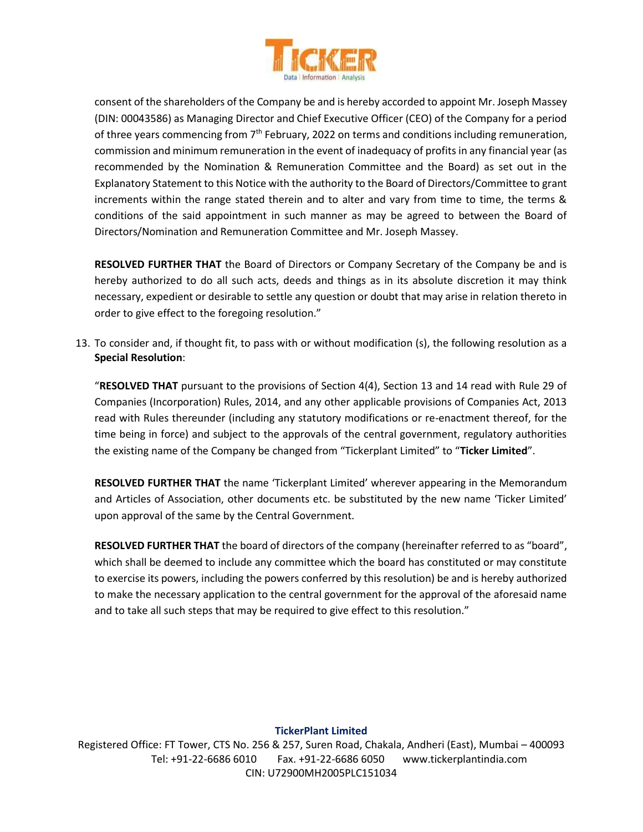

consent of the shareholders of the Company be and is hereby accorded to appoint Mr. Joseph Massey (DIN: 00043586) as Managing Director and Chief Executive Officer (CEO) of the Company for a period of three years commencing from 7<sup>th</sup> February, 2022 on terms and conditions including remuneration, commission and minimum remuneration in the event of inadequacy of profits in any financial year (as recommended by the Nomination & Remuneration Committee and the Board) as set out in the Explanatory Statement to this Notice with the authority to the Board of Directors/Committee to grant increments within the range stated therein and to alter and vary from time to time, the terms & conditions of the said appointment in such manner as may be agreed to between the Board of Directors/Nomination and Remuneration Committee and Mr. Joseph Massey.

**RESOLVED FURTHER THAT** the Board of Directors or Company Secretary of the Company be and is hereby authorized to do all such acts, deeds and things as in its absolute discretion it may think necessary, expedient or desirable to settle any question or doubt that may arise in relation thereto in order to give effect to the foregoing resolution."

13. To consider and, if thought fit, to pass with or without modification (s), the following resolution as a **Special Resolution**:

"**RESOLVED THAT** pursuant to the provisions of Section 4(4), Section 13 and 14 read with Rule 29 of Companies (Incorporation) Rules, 2014, and any other applicable provisions of Companies Act, 2013 read with Rules thereunder (including any statutory modifications or re-enactment thereof, for the time being in force) and subject to the approvals of the central government, regulatory authorities the existing name of the Company be changed from "Tickerplant Limited" to "**Ticker Limited**".

**RESOLVED FURTHER THAT** the name 'Tickerplant Limited' wherever appearing in the Memorandum and Articles of Association, other documents etc. be substituted by the new name 'Ticker Limited' upon approval of the same by the Central Government.

**RESOLVED FURTHER THAT** the board of directors of the company (hereinafter referred to as "board", which shall be deemed to include any committee which the board has constituted or may constitute to exercise its powers, including the powers conferred by this resolution) be and is hereby authorized to make the necessary application to the central government for the approval of the aforesaid name and to take all such steps that may be required to give effect to this resolution."

#### **TickerPlant Limited**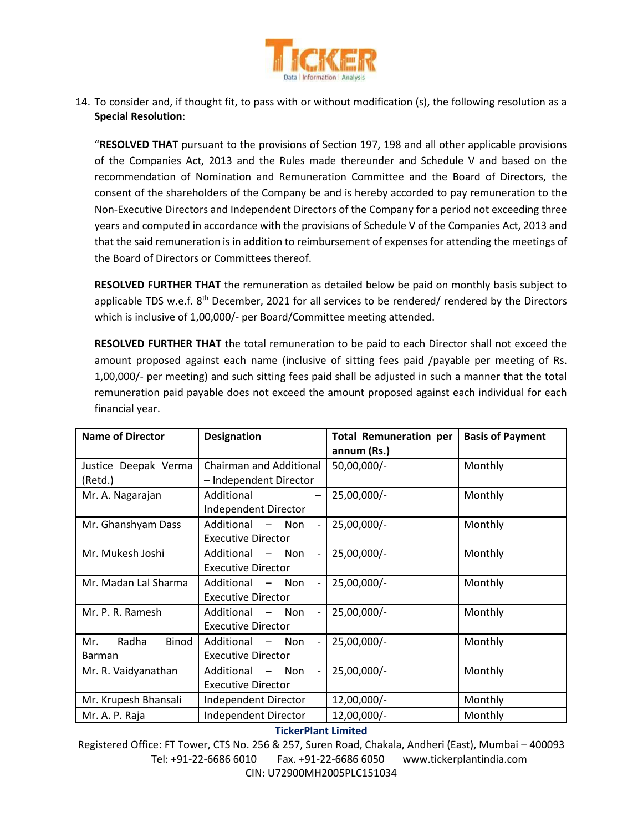

14. To consider and, if thought fit, to pass with or without modification (s), the following resolution as a **Special Resolution**:

"**RESOLVED THAT** pursuant to the provisions of Section 197, 198 and all other applicable provisions of the Companies Act, 2013 and the Rules made thereunder and Schedule V and based on the recommendation of Nomination and Remuneration Committee and the Board of Directors, the consent of the shareholders of the Company be and is hereby accorded to pay remuneration to the Non-Executive Directors and Independent Directors of the Company for a period not exceeding three years and computed in accordance with the provisions of Schedule V of the Companies Act, 2013 and that the said remuneration is in addition to reimbursement of expenses for attending the meetings of the Board of Directors or Committees thereof.

**RESOLVED FURTHER THAT** the remuneration as detailed below be paid on monthly basis subject to applicable TDS w.e.f. 8<sup>th</sup> December, 2021 for all services to be rendered/ rendered by the Directors which is inclusive of 1,00,000/- per Board/Committee meeting attended.

**RESOLVED FURTHER THAT** the total remuneration to be paid to each Director shall not exceed the amount proposed against each name (inclusive of sitting fees paid /payable per meeting of Rs. 1,00,000/- per meeting) and such sitting fees paid shall be adjusted in such a manner that the total remuneration paid payable does not exceed the amount proposed against each individual for each financial year.

| <b>Name of Director</b>                | <b>Designation</b>                                                         | <b>Total Remuneration per</b><br>annum (Rs.) | <b>Basis of Payment</b> |
|----------------------------------------|----------------------------------------------------------------------------|----------------------------------------------|-------------------------|
| Justice Deepak Verma<br>(Retd.)        | Chairman and Additional<br>- Independent Director                          | 50,00,000/-                                  | Monthly                 |
| Mr. A. Nagarajan                       | Additional<br>Independent Director                                         | 25,00,000/-                                  | Monthly                 |
| Mr. Ghanshyam Dass                     | Additional - Non<br><b>Executive Director</b>                              | 25,00,000/-                                  | Monthly                 |
| Mr. Mukesh Joshi                       | Additional<br>$-$ Non<br><b>Executive Director</b>                         | 25,00,000/-                                  | Monthly                 |
| Mr. Madan Lal Sharma                   | Additional<br>Non<br><b>Executive Director</b>                             | 25,00,000/-                                  | Monthly                 |
| Mr. P. R. Ramesh                       | Additional - Non<br><b>Executive Director</b>                              | 25,00,000/-                                  | Monthly                 |
| Radha<br>Binod<br>Mr.<br><b>Barman</b> | Additional<br>$-$ Non<br><b>Executive Director</b>                         | 25,00,000/-                                  | Monthly                 |
| Mr. R. Vaidyanathan                    | Additional<br>Non<br>$\overline{\phantom{m}}$<br><b>Executive Director</b> | 25,00,000/-                                  | Monthly                 |
| Mr. Krupesh Bhansali                   | Independent Director                                                       | 12,00,000/-                                  | Monthly                 |
| Mr. A. P. Raja                         | Independent Director                                                       | 12,00,000/-                                  | Monthly                 |

#### **TickerPlant Limited**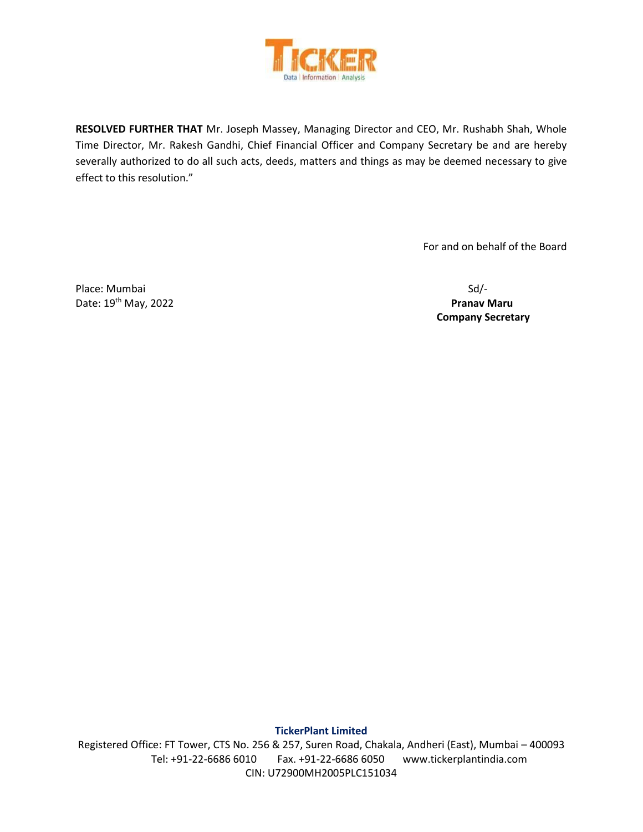

**RESOLVED FURTHER THAT** Mr. Joseph Massey, Managing Director and CEO, Mr. Rushabh Shah, Whole Time Director, Mr. Rakesh Gandhi, Chief Financial Officer and Company Secretary be and are hereby severally authorized to do all such acts, deeds, matters and things as may be deemed necessary to give effect to this resolution."

For and on behalf of the Board

Place: Mumbai Sd/-Date: 19th May, 2022 **Pranav Maru**

 **Company Secretary** 

**TickerPlant Limited**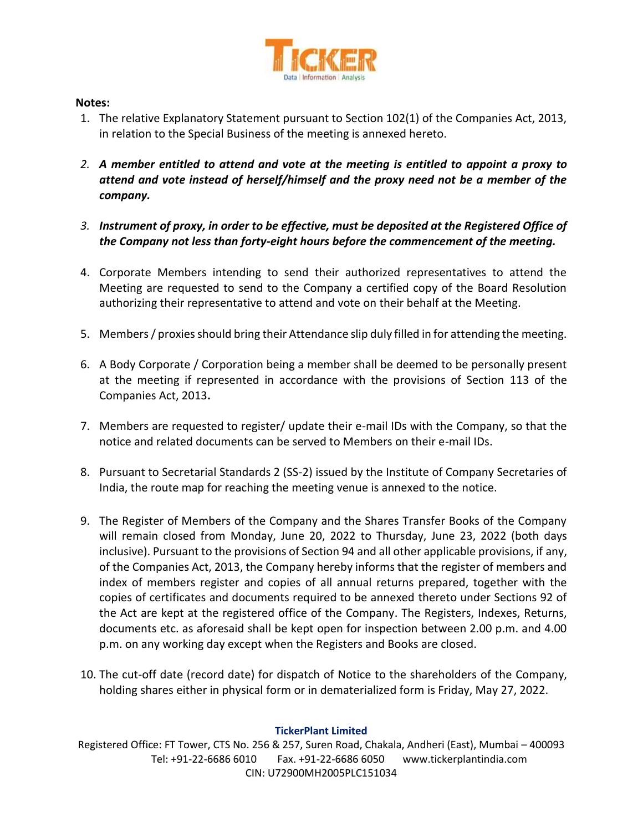

### **Notes:**

- 1. The relative Explanatory Statement pursuant to Section 102(1) of the Companies Act, 2013, in relation to the Special Business of the meeting is annexed hereto.
- *2. A member entitled to attend and vote at the meeting is entitled to appoint a proxy to attend and vote instead of herself/himself and the proxy need not be a member of the company.*
- *3. Instrument of proxy, in order to be effective, must be deposited at the Registered Office of the Company not less than forty-eight hours before the commencement of the meeting.*
- 4. Corporate Members intending to send their authorized representatives to attend the Meeting are requested to send to the Company a certified copy of the Board Resolution authorizing their representative to attend and vote on their behalf at the Meeting.
- 5. Members / proxies should bring their Attendance slip duly filled in for attending the meeting.
- 6. A Body Corporate / Corporation being a member shall be deemed to be personally present at the meeting if represented in accordance with the provisions of Section 113 of the Companies Act, 2013**.**
- 7. Members are requested to register/ update their e-mail IDs with the Company, so that the notice and related documents can be served to Members on their e-mail IDs.
- 8. Pursuant to Secretarial Standards 2 (SS-2) issued by the Institute of Company Secretaries of India, the route map for reaching the meeting venue is annexed to the notice.
- 9. The Register of Members of the Company and the Shares Transfer Books of the Company will remain closed from Monday, June 20, 2022 to Thursday, June 23, 2022 (both days inclusive). Pursuant to the provisions of Section 94 and all other applicable provisions, if any, of the Companies Act, 2013, the Company hereby informs that the register of members and index of members register and copies of all annual returns prepared, together with the copies of certificates and documents required to be annexed thereto under Sections 92 of the Act are kept at the registered office of the Company. The Registers, Indexes, Returns, documents etc. as aforesaid shall be kept open for inspection between 2.00 p.m. and 4.00 p.m. on any working day except when the Registers and Books are closed.
- 10. The cut-off date (record date) for dispatch of Notice to the shareholders of the Company, holding shares either in physical form or in dematerialized form is Friday, May 27, 2022.

### **TickerPlant Limited**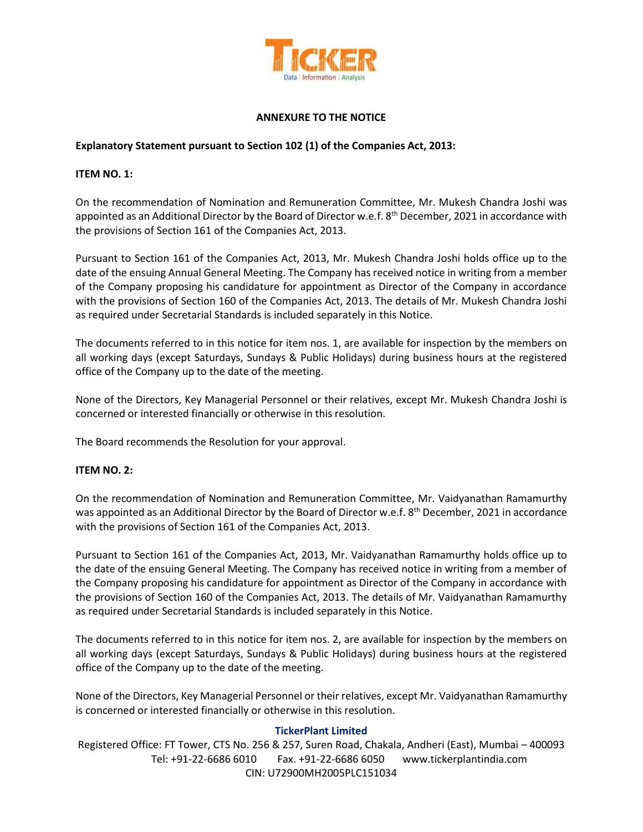

### **ANNEXURE TO THE NOTICE**

#### **Explanatory Statement pursuant to Section 102 (1) of the Companies Act, 2013:**

#### **ITEM NO. 1:**

On the recommendation of Nomination and Remuneration Committee, Mr. Mukesh Chandra Joshi was appointed as an Additional Director by the Board of Director w.e.f. 8<sup>th</sup> December, 2021 in accordance with the provisions of Section 161 of the Companies Act, 2013.

Pursuant to Section 161 of the Companies Act, 2013, Mr. Mukesh Chandra Joshi holds office up to the date of the ensuing Annual General Meeting. The Company has received notice in writing from a member of the Company proposing his candidature for appointment as Director of the Company in accordance with the provisions of Section 160 of the Companies Act, 2013. The details of Mr. Mukesh Chandra Joshi as required under Secretarial Standards is included separately in this Notice.

The documents referred to in this notice for item nos. 1, are available for inspection by the members on all working days (except Saturdays, Sundays & Public Holidays) during business hours at the registered office of the Company up to the date of the meeting.

None of the Directors, Key Managerial Personnel or their relatives, except Mr. Mukesh Chandra Joshi is concerned or interested financially or otherwise in this resolution.

The Board recommends the Resolution for your approval.

#### **ITEM NO. 2:**

On the recommendation of Nomination and Remuneration Committee, Mr. Vaidyanathan Ramamurthy was appointed as an Additional Director by the Board of Director w.e.f. 8<sup>th</sup> December, 2021 in accordance with the provisions of Section 161 of the Companies Act, 2013.

Pursuant to Section 161 of the Companies Act, 2013, Mr. Vaidyanathan Ramamurthy holds office up to the date of the ensuing General Meeting. The Company has received notice in writing from a member of the Company proposing his candidature for appointment as Director of the Company in accordance with the provisions of Section 160 of the Companies Act, 2013. The details of Mr. Vaidyanathan Ramamurthy as required under Secretarial Standards is included separately in this Notice.

The documents referred to in this notice for item nos. 2, are available for inspection by the members on all working days (except Saturdays, Sundays & Public Holidays) during business hours at the registered office of the Company up to the date of the meeting.

None of the Directors, Key Managerial Personnel or their relatives, except Mr. Vaidyanathan Ramamurthy is concerned or interested financially or otherwise in this resolution.

#### **TickerPlant Limited**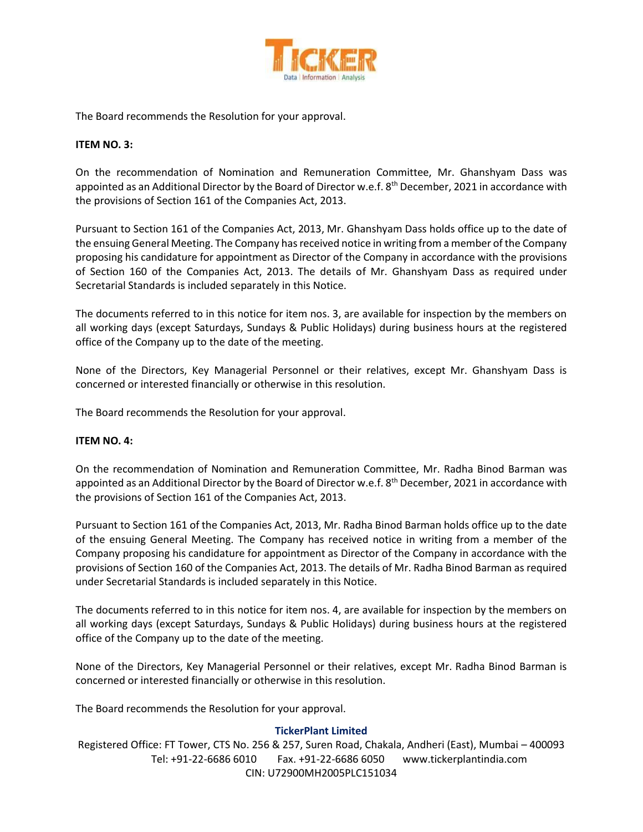

The Board recommends the Resolution for your approval.

### **ITEM NO. 3:**

On the recommendation of Nomination and Remuneration Committee, Mr. Ghanshyam Dass was appointed as an Additional Director by the Board of Director w.e.f. 8<sup>th</sup> December, 2021 in accordance with the provisions of Section 161 of the Companies Act, 2013.

Pursuant to Section 161 of the Companies Act, 2013, Mr. Ghanshyam Dass holds office up to the date of the ensuing General Meeting. The Company has received notice in writing from a member of the Company proposing his candidature for appointment as Director of the Company in accordance with the provisions of Section 160 of the Companies Act, 2013. The details of Mr. Ghanshyam Dass as required under Secretarial Standards is included separately in this Notice.

The documents referred to in this notice for item nos. 3, are available for inspection by the members on all working days (except Saturdays, Sundays & Public Holidays) during business hours at the registered office of the Company up to the date of the meeting.

None of the Directors, Key Managerial Personnel or their relatives, except Mr. Ghanshyam Dass is concerned or interested financially or otherwise in this resolution.

The Board recommends the Resolution for your approval.

#### **ITEM NO. 4:**

On the recommendation of Nomination and Remuneration Committee, Mr. Radha Binod Barman was appointed as an Additional Director by the Board of Director w.e.f. 8<sup>th</sup> December, 2021 in accordance with the provisions of Section 161 of the Companies Act, 2013.

Pursuant to Section 161 of the Companies Act, 2013, Mr. Radha Binod Barman holds office up to the date of the ensuing General Meeting. The Company has received notice in writing from a member of the Company proposing his candidature for appointment as Director of the Company in accordance with the provisions of Section 160 of the Companies Act, 2013. The details of Mr. Radha Binod Barman as required under Secretarial Standards is included separately in this Notice.

The documents referred to in this notice for item nos. 4, are available for inspection by the members on all working days (except Saturdays, Sundays & Public Holidays) during business hours at the registered office of the Company up to the date of the meeting.

None of the Directors, Key Managerial Personnel or their relatives, except Mr. Radha Binod Barman is concerned or interested financially or otherwise in this resolution.

The Board recommends the Resolution for your approval.

#### **TickerPlant Limited**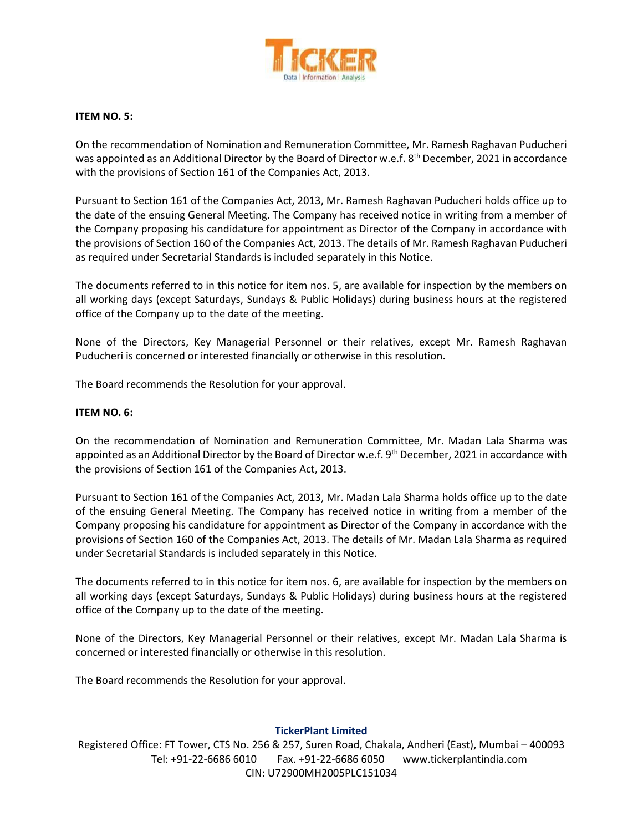

#### **ITEM NO. 5:**

On the recommendation of Nomination and Remuneration Committee, Mr. Ramesh Raghavan Puducheri was appointed as an Additional Director by the Board of Director w.e.f. 8<sup>th</sup> December, 2021 in accordance with the provisions of Section 161 of the Companies Act, 2013.

Pursuant to Section 161 of the Companies Act, 2013, Mr. Ramesh Raghavan Puducheri holds office up to the date of the ensuing General Meeting. The Company has received notice in writing from a member of the Company proposing his candidature for appointment as Director of the Company in accordance with the provisions of Section 160 of the Companies Act, 2013. The details of Mr. Ramesh Raghavan Puducheri as required under Secretarial Standards is included separately in this Notice.

The documents referred to in this notice for item nos. 5, are available for inspection by the members on all working days (except Saturdays, Sundays & Public Holidays) during business hours at the registered office of the Company up to the date of the meeting.

None of the Directors, Key Managerial Personnel or their relatives, except Mr. Ramesh Raghavan Puducheri is concerned or interested financially or otherwise in this resolution.

The Board recommends the Resolution for your approval.

#### **ITEM NO. 6:**

On the recommendation of Nomination and Remuneration Committee, Mr. Madan Lala Sharma was appointed as an Additional Director by the Board of Director w.e.f. 9<sup>th</sup> December, 2021 in accordance with the provisions of Section 161 of the Companies Act, 2013.

Pursuant to Section 161 of the Companies Act, 2013, Mr. Madan Lala Sharma holds office up to the date of the ensuing General Meeting. The Company has received notice in writing from a member of the Company proposing his candidature for appointment as Director of the Company in accordance with the provisions of Section 160 of the Companies Act, 2013. The details of Mr. Madan Lala Sharma as required under Secretarial Standards is included separately in this Notice.

The documents referred to in this notice for item nos. 6, are available for inspection by the members on all working days (except Saturdays, Sundays & Public Holidays) during business hours at the registered office of the Company up to the date of the meeting.

None of the Directors, Key Managerial Personnel or their relatives, except Mr. Madan Lala Sharma is concerned or interested financially or otherwise in this resolution.

The Board recommends the Resolution for your approval.

#### **TickerPlant Limited**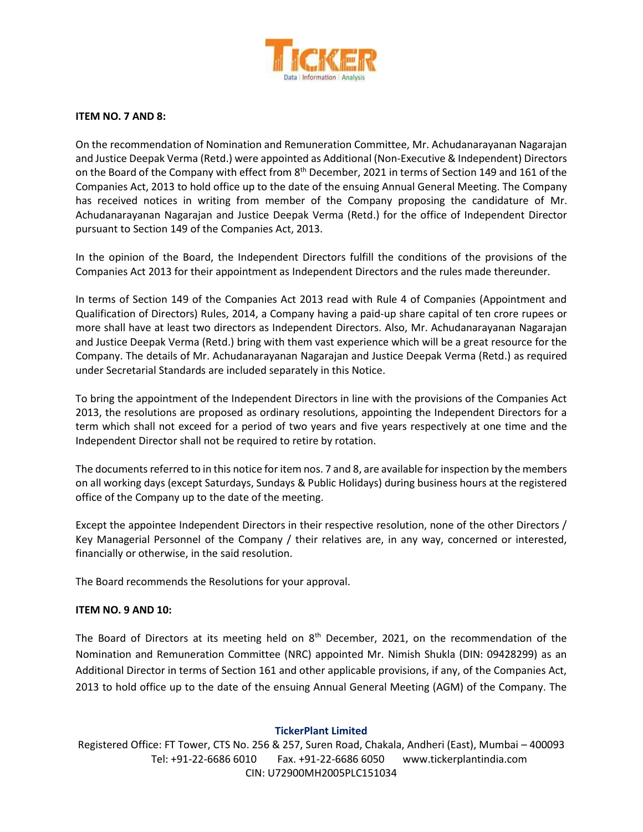

#### **ITEM NO. 7 AND 8:**

On the recommendation of Nomination and Remuneration Committee, Mr. Achudanarayanan Nagarajan and Justice Deepak Verma (Retd.) were appointed as Additional (Non-Executive & Independent) Directors on the Board of the Company with effect from 8<sup>th</sup> December, 2021 in terms of Section 149 and 161 of the Companies Act, 2013 to hold office up to the date of the ensuing Annual General Meeting. The Company has received notices in writing from member of the Company proposing the candidature of Mr. Achudanarayanan Nagarajan and Justice Deepak Verma (Retd.) for the office of Independent Director pursuant to Section 149 of the Companies Act, 2013.

In the opinion of the Board, the Independent Directors fulfill the conditions of the provisions of the Companies Act 2013 for their appointment as Independent Directors and the rules made thereunder.

In terms of Section 149 of the Companies Act 2013 read with Rule 4 of Companies (Appointment and Qualification of Directors) Rules, 2014, a Company having a paid-up share capital of ten crore rupees or more shall have at least two directors as Independent Directors. Also, Mr. Achudanarayanan Nagarajan and Justice Deepak Verma (Retd.) bring with them vast experience which will be a great resource for the Company. The details of Mr. Achudanarayanan Nagarajan and Justice Deepak Verma (Retd.) as required under Secretarial Standards are included separately in this Notice.

To bring the appointment of the Independent Directors in line with the provisions of the Companies Act 2013, the resolutions are proposed as ordinary resolutions, appointing the Independent Directors for a term which shall not exceed for a period of two years and five years respectively at one time and the Independent Director shall not be required to retire by rotation.

The documents referred to in this notice for item nos. 7 and 8, are available for inspection by the members on all working days (except Saturdays, Sundays & Public Holidays) during business hours at the registered office of the Company up to the date of the meeting.

Except the appointee Independent Directors in their respective resolution, none of the other Directors / Key Managerial Personnel of the Company / their relatives are, in any way, concerned or interested, financially or otherwise, in the said resolution.

The Board recommends the Resolutions for your approval.

#### **ITEM NO. 9 AND 10:**

The Board of Directors at its meeting held on  $8<sup>th</sup>$  December, 2021, on the recommendation of the Nomination and Remuneration Committee (NRC) appointed Mr. Nimish Shukla (DIN: 09428299) as an Additional Director in terms of Section 161 and other applicable provisions, if any, of the Companies Act, 2013 to hold office up to the date of the ensuing Annual General Meeting (AGM) of the Company. The

#### **TickerPlant Limited**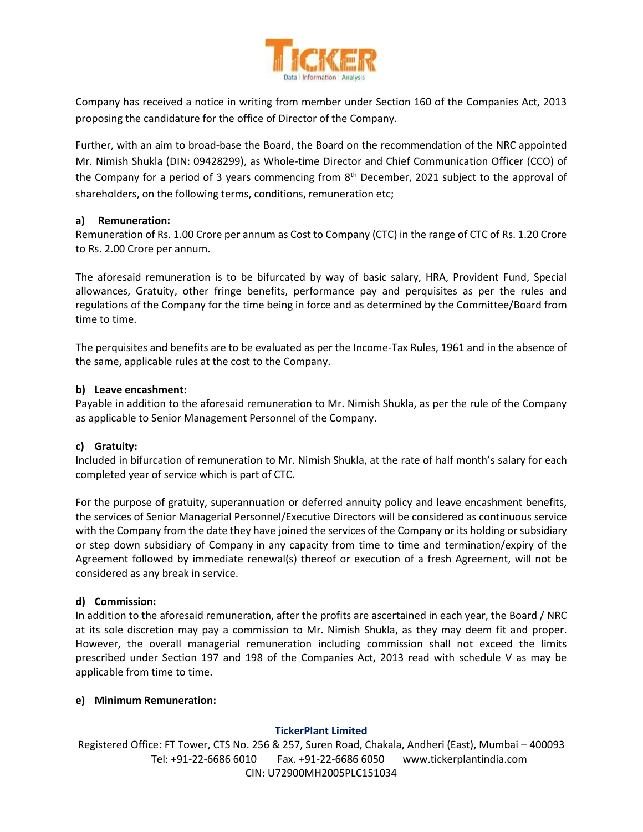

Company has received a notice in writing from member under Section 160 of the Companies Act, 2013 proposing the candidature for the office of Director of the Company.

Further, with an aim to broad-base the Board, the Board on the recommendation of the NRC appointed Mr. Nimish Shukla (DIN: 09428299), as Whole-time Director and Chief Communication Officer (CCO) of the Company for a period of 3 years commencing from  $8<sup>th</sup>$  December, 2021 subject to the approval of shareholders, on the following terms, conditions, remuneration etc;

#### **a) Remuneration:**

Remuneration of Rs. 1.00 Crore per annum as Cost to Company (CTC) in the range of CTC of Rs. 1.20 Crore to Rs. 2.00 Crore per annum.

The aforesaid remuneration is to be bifurcated by way of basic salary, HRA, Provident Fund, Special allowances, Gratuity, other fringe benefits, performance pay and perquisites as per the rules and regulations of the Company for the time being in force and as determined by the Committee/Board from time to time.

The perquisites and benefits are to be evaluated as per the Income-Tax Rules, 1961 and in the absence of the same, applicable rules at the cost to the Company.

#### **b) Leave encashment:**

Payable in addition to the aforesaid remuneration to Mr. Nimish Shukla, as per the rule of the Company as applicable to Senior Management Personnel of the Company.

#### **c) Gratuity:**

Included in bifurcation of remuneration to Mr. Nimish Shukla, at the rate of half month's salary for each completed year of service which is part of CTC.

For the purpose of gratuity, superannuation or deferred annuity policy and leave encashment benefits, the services of Senior Managerial Personnel/Executive Directors will be considered as continuous service with the Company from the date they have joined the services of the Company or its holding or subsidiary or step down subsidiary of Company in any capacity from time to time and termination/expiry of the Agreement followed by immediate renewal(s) thereof or execution of a fresh Agreement, will not be considered as any break in service.

#### **d) Commission:**

In addition to the aforesaid remuneration, after the profits are ascertained in each year, the Board / NRC at its sole discretion may pay a commission to Mr. Nimish Shukla, as they may deem fit and proper. However, the overall managerial remuneration including commission shall not exceed the limits prescribed under Section 197 and 198 of the Companies Act, 2013 read with schedule V as may be applicable from time to time.

#### **e) Minimum Remuneration:**

#### **TickerPlant Limited**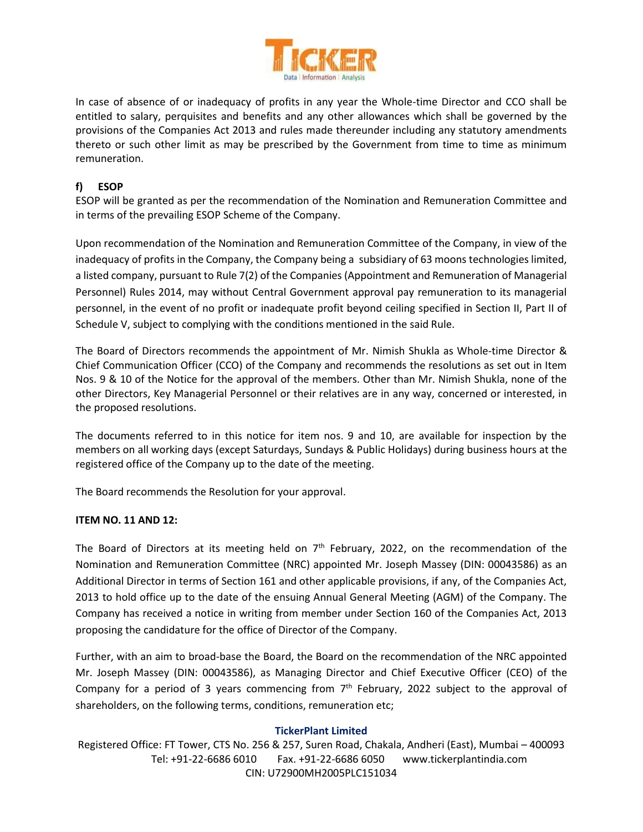

In case of absence of or inadequacy of profits in any year the Whole-time Director and CCO shall be entitled to salary, perquisites and benefits and any other allowances which shall be governed by the provisions of the Companies Act 2013 and rules made thereunder including any statutory amendments thereto or such other limit as may be prescribed by the Government from time to time as minimum remuneration.

### **f) ESOP**

ESOP will be granted as per the recommendation of the Nomination and Remuneration Committee and in terms of the prevailing ESOP Scheme of the Company.

Upon recommendation of the Nomination and Remuneration Committee of the Company, in view of the inadequacy of profits in the Company, the Company being a subsidiary of 63 moons technologies limited, a listed company, pursuant to Rule 7(2) of the Companies (Appointment and Remuneration of Managerial Personnel) Rules 2014, may without Central Government approval pay remuneration to its managerial personnel, in the event of no profit or inadequate profit beyond ceiling specified in Section II, Part II of Schedule V, subject to complying with the conditions mentioned in the said Rule.

The Board of Directors recommends the appointment of Mr. Nimish Shukla as Whole-time Director & Chief Communication Officer (CCO) of the Company and recommends the resolutions as set out in Item Nos. 9 & 10 of the Notice for the approval of the members. Other than Mr. Nimish Shukla, none of the other Directors, Key Managerial Personnel or their relatives are in any way, concerned or interested, in the proposed resolutions.

The documents referred to in this notice for item nos. 9 and 10, are available for inspection by the members on all working days (except Saturdays, Sundays & Public Holidays) during business hours at the registered office of the Company up to the date of the meeting.

The Board recommends the Resolution for your approval.

#### **ITEM NO. 11 AND 12:**

The Board of Directors at its meeting held on 7<sup>th</sup> February, 2022, on the recommendation of the Nomination and Remuneration Committee (NRC) appointed Mr. Joseph Massey (DIN: 00043586) as an Additional Director in terms of Section 161 and other applicable provisions, if any, of the Companies Act, 2013 to hold office up to the date of the ensuing Annual General Meeting (AGM) of the Company. The Company has received a notice in writing from member under Section 160 of the Companies Act, 2013 proposing the candidature for the office of Director of the Company.

Further, with an aim to broad-base the Board, the Board on the recommendation of the NRC appointed Mr. Joseph Massey (DIN: 00043586), as Managing Director and Chief Executive Officer (CEO) of the Company for a period of 3 years commencing from  $7<sup>th</sup>$  February, 2022 subject to the approval of shareholders, on the following terms, conditions, remuneration etc;

#### **TickerPlant Limited**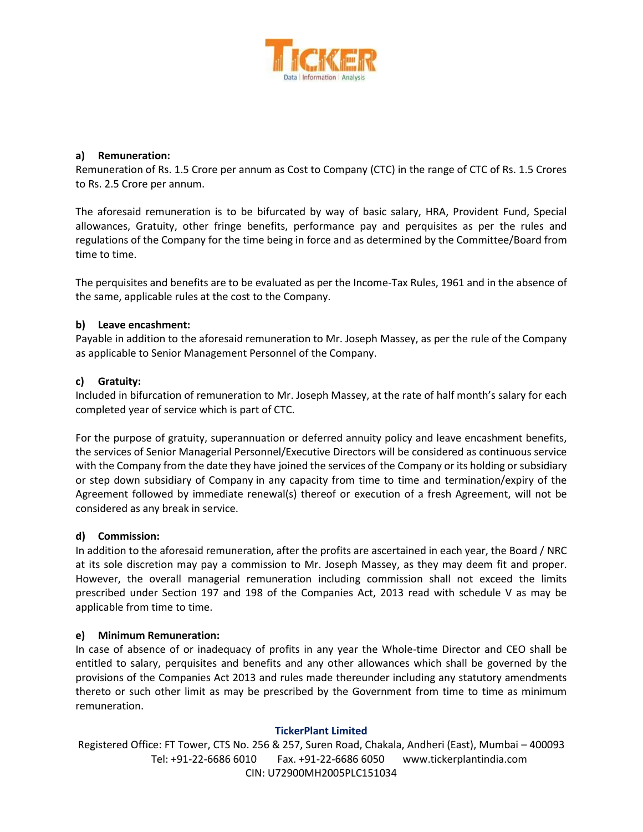

#### **a) Remuneration:**

Remuneration of Rs. 1.5 Crore per annum as Cost to Company (CTC) in the range of CTC of Rs. 1.5 Crores to Rs. 2.5 Crore per annum.

The aforesaid remuneration is to be bifurcated by way of basic salary, HRA, Provident Fund, Special allowances, Gratuity, other fringe benefits, performance pay and perquisites as per the rules and regulations of the Company for the time being in force and as determined by the Committee/Board from time to time.

The perquisites and benefits are to be evaluated as per the Income-Tax Rules, 1961 and in the absence of the same, applicable rules at the cost to the Company.

#### **b) Leave encashment:**

Payable in addition to the aforesaid remuneration to Mr. Joseph Massey, as per the rule of the Company as applicable to Senior Management Personnel of the Company.

#### **c) Gratuity:**

Included in bifurcation of remuneration to Mr. Joseph Massey, at the rate of half month's salary for each completed year of service which is part of CTC.

For the purpose of gratuity, superannuation or deferred annuity policy and leave encashment benefits, the services of Senior Managerial Personnel/Executive Directors will be considered as continuous service with the Company from the date they have joined the services of the Company or its holding or subsidiary or step down subsidiary of Company in any capacity from time to time and termination/expiry of the Agreement followed by immediate renewal(s) thereof or execution of a fresh Agreement, will not be considered as any break in service.

#### **d) Commission:**

In addition to the aforesaid remuneration, after the profits are ascertained in each year, the Board / NRC at its sole discretion may pay a commission to Mr. Joseph Massey, as they may deem fit and proper. However, the overall managerial remuneration including commission shall not exceed the limits prescribed under Section 197 and 198 of the Companies Act, 2013 read with schedule V as may be applicable from time to time.

#### **e) Minimum Remuneration:**

In case of absence of or inadequacy of profits in any year the Whole-time Director and CEO shall be entitled to salary, perquisites and benefits and any other allowances which shall be governed by the provisions of the Companies Act 2013 and rules made thereunder including any statutory amendments thereto or such other limit as may be prescribed by the Government from time to time as minimum remuneration.

#### **TickerPlant Limited**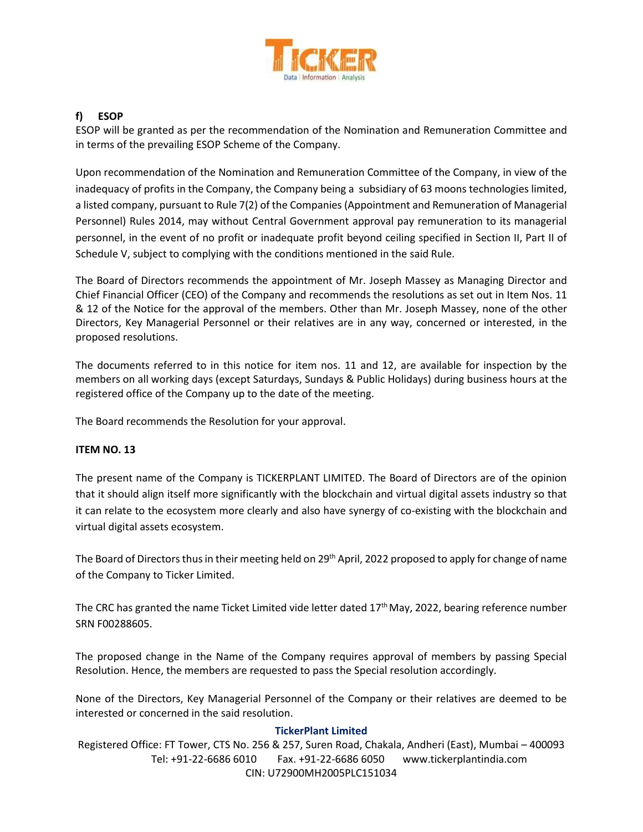

# **f) ESOP**

ESOP will be granted as per the recommendation of the Nomination and Remuneration Committee and in terms of the prevailing ESOP Scheme of the Company.

Upon recommendation of the Nomination and Remuneration Committee of the Company, in view of the inadequacy of profits in the Company, the Company being a subsidiary of 63 moons technologies limited, a listed company, pursuant to Rule 7(2) of the Companies (Appointment and Remuneration of Managerial Personnel) Rules 2014, may without Central Government approval pay remuneration to its managerial personnel, in the event of no profit or inadequate profit beyond ceiling specified in Section II, Part II of Schedule V, subject to complying with the conditions mentioned in the said Rule.

The Board of Directors recommends the appointment of Mr. Joseph Massey as Managing Director and Chief Financial Officer (CEO) of the Company and recommends the resolutions as set out in Item Nos. 11 & 12 of the Notice for the approval of the members. Other than Mr. Joseph Massey, none of the other Directors, Key Managerial Personnel or their relatives are in any way, concerned or interested, in the proposed resolutions.

The documents referred to in this notice for item nos. 11 and 12, are available for inspection by the members on all working days (except Saturdays, Sundays & Public Holidays) during business hours at the registered office of the Company up to the date of the meeting.

The Board recommends the Resolution for your approval.

### **ITEM NO. 13**

The present name of the Company is TICKERPLANT LIMITED. The Board of Directors are of the opinion that it should align itself more significantly with the blockchain and virtual digital assets industry so that it can relate to the ecosystem more clearly and also have synergy of co-existing with the blockchain and virtual digital assets ecosystem.

The Board of Directors thus in their meeting held on 29<sup>th</sup> April, 2022 proposed to apply for change of name of the Company to Ticker Limited.

The CRC has granted the name Ticket Limited vide letter dated  $17<sup>th</sup>$  May, 2022, bearing reference number SRN F00288605.

The proposed change in the Name of the Company requires approval of members by passing Special Resolution. Hence, the members are requested to pass the Special resolution accordingly.

None of the Directors, Key Managerial Personnel of the Company or their relatives are deemed to be interested or concerned in the said resolution.

#### **TickerPlant Limited**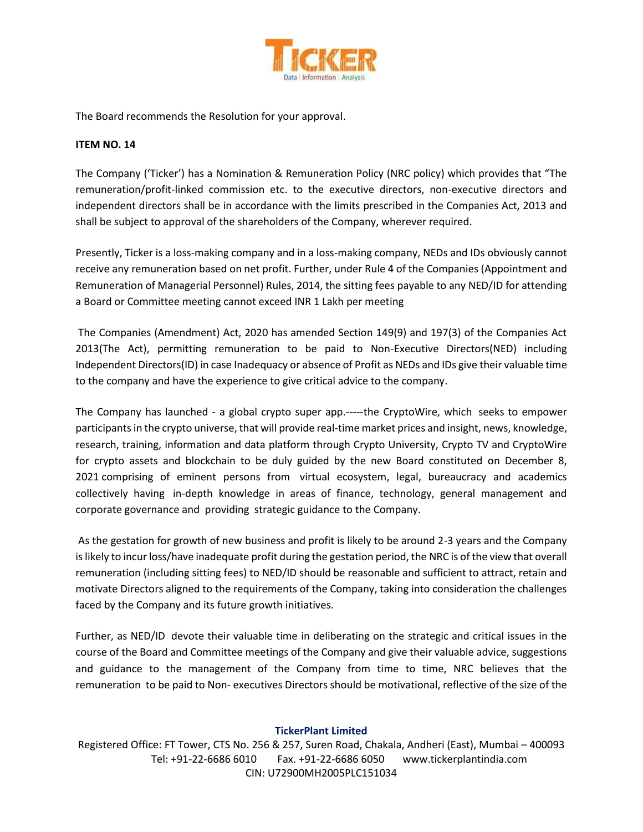

The Board recommends the Resolution for your approval.

### **ITEM NO. 14**

The Company ('Ticker') has a Nomination & Remuneration Policy (NRC policy) which provides that "The remuneration/profit-linked commission etc. to the executive directors, non-executive directors and independent directors shall be in accordance with the limits prescribed in the Companies Act, 2013 and shall be subject to approval of the shareholders of the Company, wherever required.

Presently, Ticker is a loss-making company and in a loss-making company, NEDs and IDs obviously cannot receive any remuneration based on net profit. Further, under Rule 4 of the Companies (Appointment and Remuneration of Managerial Personnel) Rules, 2014, the sitting fees payable to any NED/ID for attending a Board or Committee meeting cannot exceed INR 1 Lakh per meeting

The Companies (Amendment) Act, 2020 has amended Section 149(9) and 197(3) of the Companies Act 2013(The Act), permitting remuneration to be paid to Non-Executive Directors(NED) including Independent Directors(ID) in case Inadequacy or absence of Profit as NEDs and IDs give their valuable time to the company and have the experience to give critical advice to the company.

The Company has launched - a global crypto super app.-----the CryptoWire, which seeks to empower participants in the crypto universe, that will provide real-time market prices and insight, news, knowledge, research, training, information and data platform through Crypto University, Crypto TV and CryptoWire for crypto assets and blockchain to be duly guided by the new Board constituted on December 8, 2021 comprising of eminent persons from virtual ecosystem, legal, bureaucracy and academics collectively having in-depth knowledge in areas of finance, technology, general management and corporate governance and providing strategic guidance to the Company.

As the gestation for growth of new business and profit is likely to be around 2-3 years and the Company is likely to incur loss/have inadequate profit during the gestation period, the NRC is of the view that overall remuneration (including sitting fees) to NED/ID should be reasonable and sufficient to attract, retain and motivate Directors aligned to the requirements of the Company, taking into consideration the challenges faced by the Company and its future growth initiatives.

Further, as NED/ID devote their valuable time in deliberating on the strategic and critical issues in the course of the Board and Committee meetings of the Company and give their valuable advice, suggestions and guidance to the management of the Company from time to time, NRC believes that the remuneration to be paid to Non- executives Directors should be motivational, reflective of the size of the

### **TickerPlant Limited**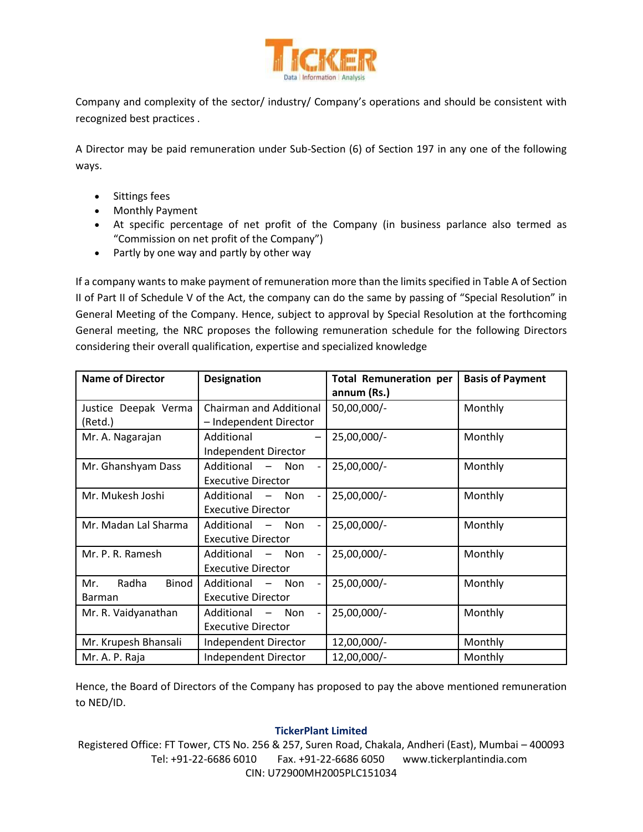

Company and complexity of the sector/ industry/ Company's operations and should be consistent with recognized best practices .

A Director may be paid remuneration under Sub-Section (6) of Section 197 in any one of the following ways.

- Sittings fees
- Monthly Payment
- At specific percentage of net profit of the Company (in business parlance also termed as "Commission on net profit of the Company")
- Partly by one way and partly by other way

If a company wants to make payment of remuneration more than the limits specified in Table A of Section II of Part II of Schedule V of the Act, the company can do the same by passing of "Special Resolution" in General Meeting of the Company. Hence, subject to approval by Special Resolution at the forthcoming General meeting, the NRC proposes the following remuneration schedule for the following Directors considering their overall qualification, expertise and specialized knowledge

| <b>Name of Director</b>                | <b>Designation</b>                                                         | <b>Total Remuneration per</b><br>annum (Rs.) | <b>Basis of Payment</b> |  |
|----------------------------------------|----------------------------------------------------------------------------|----------------------------------------------|-------------------------|--|
| Justice Deepak Verma<br>(Retd.)        | Chairman and Additional<br>- Independent Director                          | 50,00,000/-                                  | Monthly                 |  |
| Mr. A. Nagarajan                       | Additional<br>Independent Director                                         | 25,00,000/-                                  | Monthly                 |  |
| Mr. Ghanshyam Dass                     | Additional - Non<br><b>Executive Director</b>                              | 25,00,000/-                                  | Monthly                 |  |
| Mr. Mukesh Joshi                       | Additional<br>Non<br>$\overline{\phantom{m}}$<br><b>Executive Director</b> | 25,00,000/-                                  | Monthly                 |  |
| Mr. Madan Lal Sharma                   | Additional<br>Non<br><b>Executive Director</b>                             | 25,00,000/-                                  | Monthly                 |  |
| Mr. P. R. Ramesh                       | Additional - Non<br><b>Executive Director</b>                              | 25,00,000/-                                  | Monthly                 |  |
| Radha<br>Mr.<br>Binod<br><b>Barman</b> | Additional<br>$-$ Non<br><b>Executive Director</b>                         | 25,00,000/-                                  | Monthly                 |  |
| Mr. R. Vaidyanathan                    | Additional<br>Non<br>$\overline{\phantom{m}}$<br><b>Executive Director</b> | 25,00,000/-                                  | Monthly                 |  |
| Mr. Krupesh Bhansali                   | Independent Director                                                       | 12,00,000/-                                  | Monthly                 |  |
| Mr. A. P. Raja                         | Independent Director                                                       | 12,00,000/-                                  | Monthly                 |  |

Hence, the Board of Directors of the Company has proposed to pay the above mentioned remuneration to NED/ID.

### **TickerPlant Limited**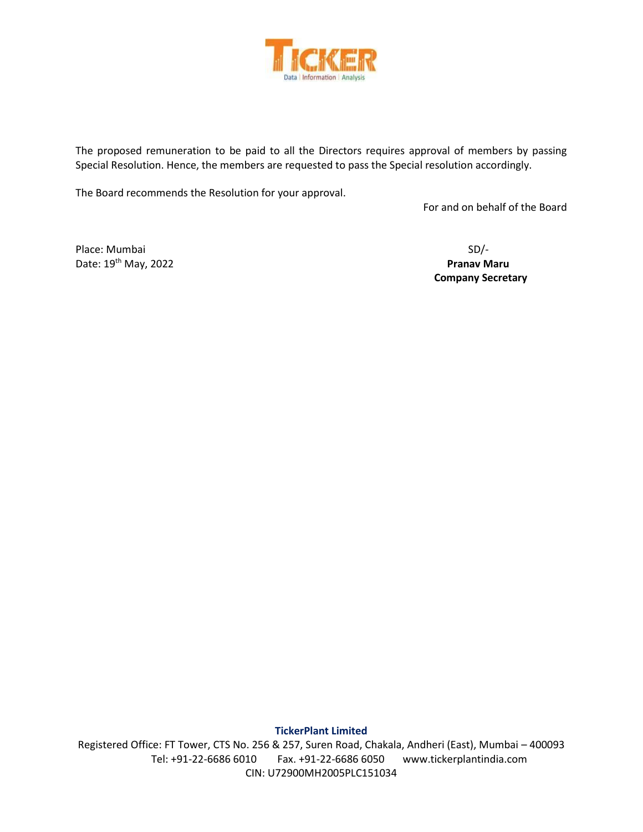

The proposed remuneration to be paid to all the Directors requires approval of members by passing Special Resolution. Hence, the members are requested to pass the Special resolution accordingly.

The Board recommends the Resolution for your approval.

For and on behalf of the Board

Place: Mumbai SD/-Date: 19<sup>th</sup> May, 2022 **Pranav Maru** 

 **Company Secretary**

**TickerPlant Limited**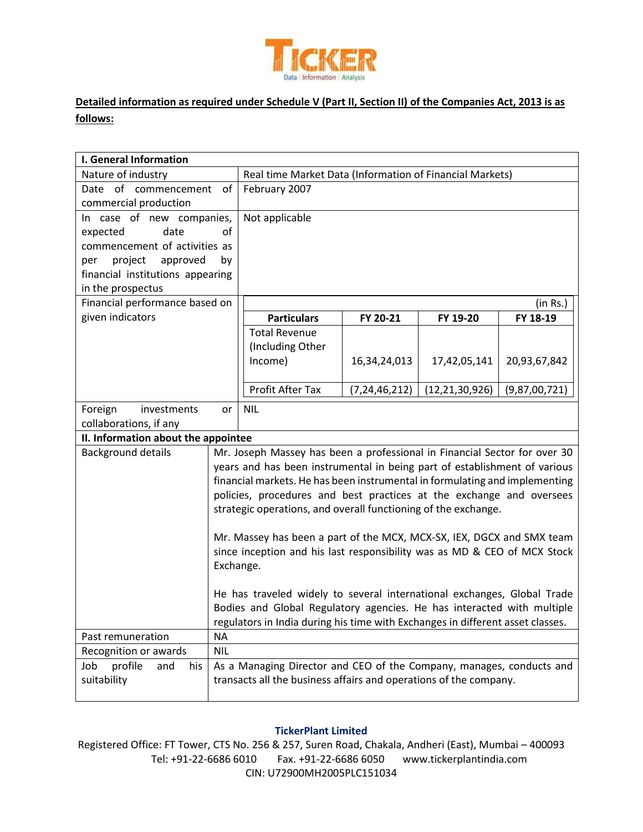

# **Detailed information as required under Schedule V (Part II, Section II) of the Companies Act, 2013 is as follows:**

| I. General Information              |                                                                                |                                                                             |                  |                   |               |
|-------------------------------------|--------------------------------------------------------------------------------|-----------------------------------------------------------------------------|------------------|-------------------|---------------|
| Nature of industry                  |                                                                                | Real time Market Data (Information of Financial Markets)                    |                  |                   |               |
| Date of commencement                | of                                                                             | February 2007                                                               |                  |                   |               |
| commercial production               |                                                                                |                                                                             |                  |                   |               |
| In case of new companies,           |                                                                                | Not applicable                                                              |                  |                   |               |
| expected<br>date                    | of                                                                             |                                                                             |                  |                   |               |
| commencement of activities as       |                                                                                |                                                                             |                  |                   |               |
| project<br>approved<br>per          | by                                                                             |                                                                             |                  |                   |               |
| financial institutions appearing    |                                                                                |                                                                             |                  |                   |               |
| in the prospectus                   |                                                                                |                                                                             |                  |                   |               |
| Financial performance based on      |                                                                                |                                                                             |                  |                   | (in Rs.)      |
| given indicators                    |                                                                                | <b>Particulars</b>                                                          | FY 20-21         | FY 19-20          | FY 18-19      |
|                                     |                                                                                | <b>Total Revenue</b>                                                        |                  |                   |               |
|                                     |                                                                                | (Including Other                                                            |                  |                   |               |
|                                     |                                                                                | Income)                                                                     | 16,34,24,013     | 17,42,05,141      | 20,93,67,842  |
|                                     |                                                                                |                                                                             |                  |                   |               |
|                                     |                                                                                | Profit After Tax                                                            | (7, 24, 46, 212) | (12, 21, 30, 926) | (9,87,00,721) |
| Foreign<br>investments              | or                                                                             | <b>NIL</b>                                                                  |                  |                   |               |
| collaborations, if any              |                                                                                |                                                                             |                  |                   |               |
| II. Information about the appointee |                                                                                |                                                                             |                  |                   |               |
| <b>Background details</b>           |                                                                                | Mr. Joseph Massey has been a professional in Financial Sector for over 30   |                  |                   |               |
|                                     |                                                                                | years and has been instrumental in being part of establishment of various   |                  |                   |               |
|                                     |                                                                                | financial markets. He has been instrumental in formulating and implementing |                  |                   |               |
|                                     |                                                                                | policies, procedures and best practices at the exchange and oversees        |                  |                   |               |
|                                     |                                                                                | strategic operations, and overall functioning of the exchange.              |                  |                   |               |
|                                     |                                                                                |                                                                             |                  |                   |               |
|                                     |                                                                                | Mr. Massey has been a part of the MCX, MCX-SX, IEX, DGCX and SMX team       |                  |                   |               |
|                                     |                                                                                | since inception and his last responsibility was as MD & CEO of MCX Stock    |                  |                   |               |
|                                     | Exchange.                                                                      |                                                                             |                  |                   |               |
|                                     |                                                                                |                                                                             |                  |                   |               |
|                                     | He has traveled widely to several international exchanges, Global Trade        |                                                                             |                  |                   |               |
|                                     | Bodies and Global Regulatory agencies. He has interacted with multiple         |                                                                             |                  |                   |               |
| Past remuneration                   | regulators in India during his time with Exchanges in different asset classes. |                                                                             |                  |                   |               |
| Recognition or awards               | ΝA<br><b>NIL</b>                                                               |                                                                             |                  |                   |               |
| Job<br>and                          |                                                                                | As a Managing Director and CEO of the Company, manages, conducts and        |                  |                   |               |
| profile<br>his                      |                                                                                | transacts all the business affairs and operations of the company.           |                  |                   |               |
| suitability                         |                                                                                |                                                                             |                  |                   |               |
|                                     |                                                                                |                                                                             |                  |                   |               |

### **TickerPlant Limited**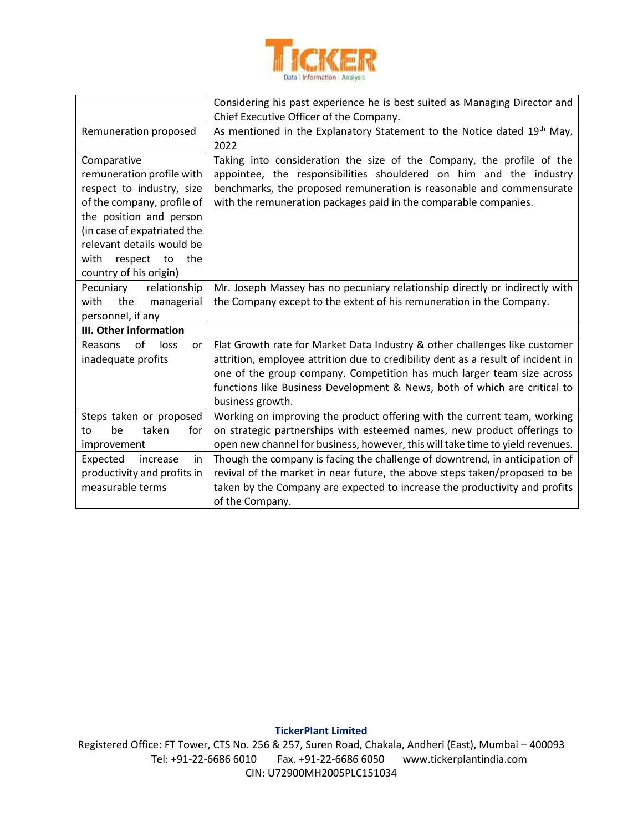

|                                                                                                                                                                                                                                                      | Considering his past experience he is best suited as Managing Director and<br>Chief Executive Officer of the Company.                                                                                                                                                                                                                     |
|------------------------------------------------------------------------------------------------------------------------------------------------------------------------------------------------------------------------------------------------------|-------------------------------------------------------------------------------------------------------------------------------------------------------------------------------------------------------------------------------------------------------------------------------------------------------------------------------------------|
| Remuneration proposed                                                                                                                                                                                                                                | As mentioned in the Explanatory Statement to the Notice dated 19th May,<br>2022                                                                                                                                                                                                                                                           |
| Comparative<br>remuneration profile with<br>respect to industry, size<br>of the company, profile of<br>the position and person<br>(in case of expatriated the<br>relevant details would be<br>with<br>respect<br>to<br>the<br>country of his origin) | Taking into consideration the size of the Company, the profile of the<br>appointee, the responsibilities shouldered on him and the industry<br>benchmarks, the proposed remuneration is reasonable and commensurate<br>with the remuneration packages paid in the comparable companies.                                                   |
| Pecuniary<br>relationship<br>the<br>managerial<br>with<br>personnel, if any                                                                                                                                                                          | Mr. Joseph Massey has no pecuniary relationship directly or indirectly with<br>the Company except to the extent of his remuneration in the Company.                                                                                                                                                                                       |
| III. Other information                                                                                                                                                                                                                               |                                                                                                                                                                                                                                                                                                                                           |
| of<br>loss<br>Reasons<br>or<br>inadequate profits                                                                                                                                                                                                    | Flat Growth rate for Market Data Industry & other challenges like customer<br>attrition, employee attrition due to credibility dent as a result of incident in<br>one of the group company. Competition has much larger team size across<br>functions like Business Development & News, both of which are critical to<br>business growth. |
| Steps taken or proposed<br>taken<br>for<br>be<br>to<br>improvement                                                                                                                                                                                   | Working on improving the product offering with the current team, working<br>on strategic partnerships with esteemed names, new product offerings to<br>open new channel for business, however, this will take time to yield revenues.                                                                                                     |
| Expected<br>increase<br>in<br>productivity and profits in<br>measurable terms                                                                                                                                                                        | Though the company is facing the challenge of downtrend, in anticipation of<br>revival of the market in near future, the above steps taken/proposed to be<br>taken by the Company are expected to increase the productivity and profits<br>of the Company.                                                                                |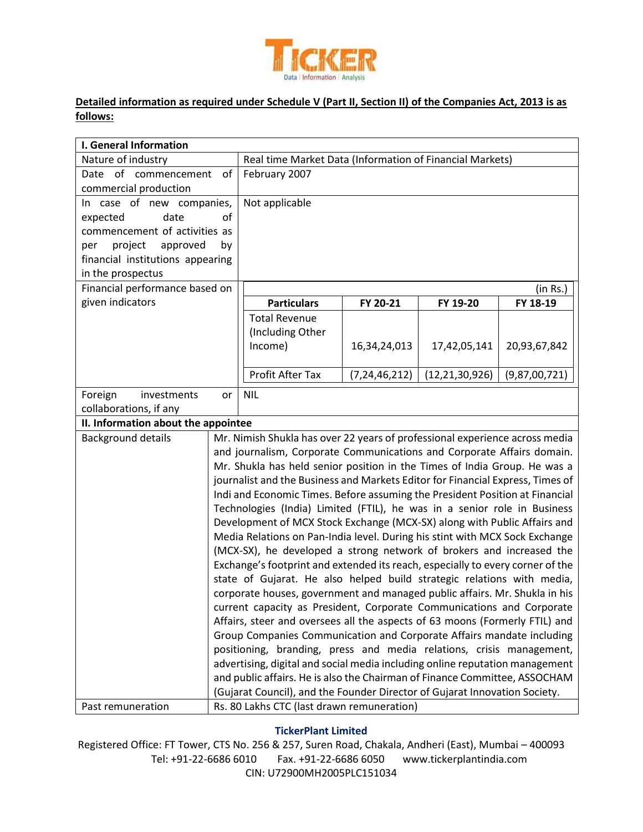

# **Detailed information as required under Schedule V (Part II, Section II) of the Companies Act, 2013 is as follows:**

| <b>I. General Information</b>                 |                                                                             |                                                                                                                                                             |                  |                   |               |
|-----------------------------------------------|-----------------------------------------------------------------------------|-------------------------------------------------------------------------------------------------------------------------------------------------------------|------------------|-------------------|---------------|
| Nature of industry                            |                                                                             | Real time Market Data (Information of Financial Markets)                                                                                                    |                  |                   |               |
| Date of commencement<br>commercial production | of                                                                          | February 2007                                                                                                                                               |                  |                   |               |
| In case of new companies,                     |                                                                             | Not applicable                                                                                                                                              |                  |                   |               |
| expected<br>date                              | of                                                                          |                                                                                                                                                             |                  |                   |               |
| commencement of activities as                 |                                                                             |                                                                                                                                                             |                  |                   |               |
| project<br>approved<br>per                    | by                                                                          |                                                                                                                                                             |                  |                   |               |
| financial institutions appearing              |                                                                             |                                                                                                                                                             |                  |                   |               |
| in the prospectus                             |                                                                             |                                                                                                                                                             |                  |                   |               |
| Financial performance based on                |                                                                             |                                                                                                                                                             |                  |                   | (in Rs.)      |
| given indicators                              |                                                                             | <b>Particulars</b>                                                                                                                                          | FY 20-21         | FY 19-20          | FY 18-19      |
|                                               |                                                                             | <b>Total Revenue</b>                                                                                                                                        |                  |                   |               |
|                                               |                                                                             | (Including Other                                                                                                                                            |                  |                   |               |
|                                               |                                                                             | Income)                                                                                                                                                     | 16,34,24,013     | 17,42,05,141      | 20,93,67,842  |
|                                               |                                                                             | Profit After Tax                                                                                                                                            | (7, 24, 46, 212) | (12, 21, 30, 926) | (9,87,00,721) |
| Foreign<br>investments                        | or                                                                          | <b>NIL</b>                                                                                                                                                  |                  |                   |               |
| collaborations, if any                        |                                                                             |                                                                                                                                                             |                  |                   |               |
| II. Information about the appointee           |                                                                             |                                                                                                                                                             |                  |                   |               |
| <b>Background details</b>                     |                                                                             | Mr. Nimish Shukla has over 22 years of professional experience across media                                                                                 |                  |                   |               |
|                                               |                                                                             | and journalism, Corporate Communications and Corporate Affairs domain.                                                                                      |                  |                   |               |
|                                               |                                                                             | Mr. Shukla has held senior position in the Times of India Group. He was a<br>journalist and the Business and Markets Editor for Financial Express, Times of |                  |                   |               |
|                                               |                                                                             |                                                                                                                                                             |                  |                   |               |
|                                               |                                                                             | Indi and Economic Times. Before assuming the President Position at Financial                                                                                |                  |                   |               |
|                                               |                                                                             | Technologies (India) Limited (FTIL), he was in a senior role in Business<br>Development of MCX Stock Exchange (MCX-SX) along with Public Affairs and        |                  |                   |               |
|                                               |                                                                             | Media Relations on Pan-India level. During his stint with MCX Sock Exchange                                                                                 |                  |                   |               |
|                                               |                                                                             | (MCX-SX), he developed a strong network of brokers and increased the                                                                                        |                  |                   |               |
|                                               |                                                                             | Exchange's footprint and extended its reach, especially to every corner of the                                                                              |                  |                   |               |
|                                               |                                                                             | state of Gujarat. He also helped build strategic relations with media,                                                                                      |                  |                   |               |
|                                               |                                                                             | corporate houses, government and managed public affairs. Mr. Shukla in his                                                                                  |                  |                   |               |
|                                               |                                                                             | current capacity as President, Corporate Communications and Corporate                                                                                       |                  |                   |               |
|                                               | Affairs, steer and oversees all the aspects of 63 moons (Formerly FTIL) and |                                                                                                                                                             |                  |                   |               |
|                                               |                                                                             | Group Companies Communication and Corporate Affairs mandate including                                                                                       |                  |                   |               |
|                                               |                                                                             | positioning, branding, press and media relations, crisis management,                                                                                        |                  |                   |               |
|                                               |                                                                             | advertising, digital and social media including online reputation management                                                                                |                  |                   |               |
|                                               |                                                                             | and public affairs. He is also the Chairman of Finance Committee, ASSOCHAM                                                                                  |                  |                   |               |
|                                               |                                                                             | (Gujarat Council), and the Founder Director of Gujarat Innovation Society.                                                                                  |                  |                   |               |
| Past remuneration                             | Rs. 80 Lakhs CTC (last drawn remuneration)                                  |                                                                                                                                                             |                  |                   |               |

#### **TickerPlant Limited**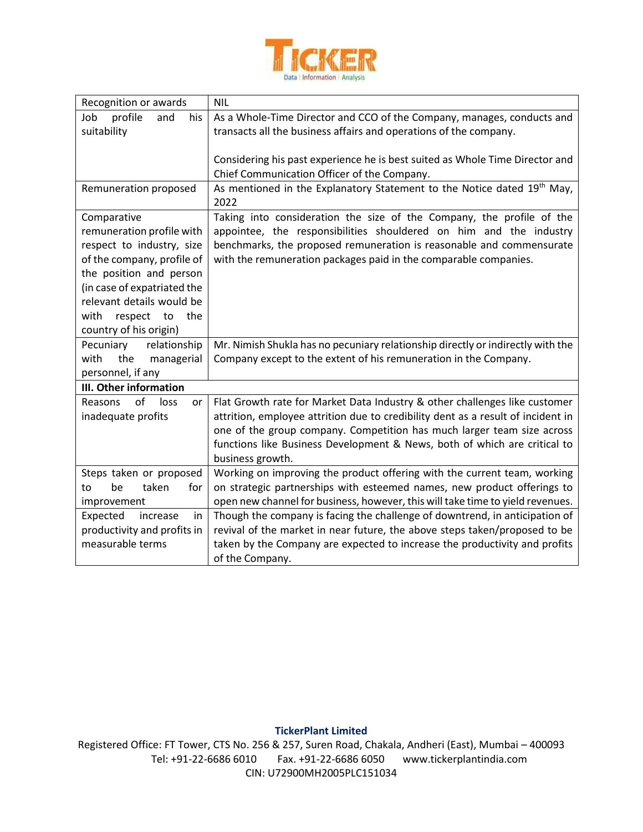

| Recognition or awards        | <b>NIL</b>                                                                          |
|------------------------------|-------------------------------------------------------------------------------------|
| Job<br>profile<br>and<br>his | As a Whole-Time Director and CCO of the Company, manages, conducts and              |
| suitability                  | transacts all the business affairs and operations of the company.                   |
|                              |                                                                                     |
|                              | Considering his past experience he is best suited as Whole Time Director and        |
|                              | Chief Communication Officer of the Company.                                         |
| Remuneration proposed        | As mentioned in the Explanatory Statement to the Notice dated 19 <sup>th</sup> May, |
|                              | 2022                                                                                |
| Comparative                  | Taking into consideration the size of the Company, the profile of the               |
| remuneration profile with    | appointee, the responsibilities shouldered on him and the industry                  |
| respect to industry, size    | benchmarks, the proposed remuneration is reasonable and commensurate                |
| of the company, profile of   | with the remuneration packages paid in the comparable companies.                    |
| the position and person      |                                                                                     |
| (in case of expatriated the  |                                                                                     |
| relevant details would be    |                                                                                     |
| with<br>respect to<br>the    |                                                                                     |
| country of his origin)       |                                                                                     |
| relationship<br>Pecuniary    | Mr. Nimish Shukla has no pecuniary relationship directly or indirectly with the     |
| the<br>with<br>managerial    | Company except to the extent of his remuneration in the Company.                    |
| personnel, if any            |                                                                                     |
| III. Other information       |                                                                                     |
| of<br>Reasons<br>loss<br>or  | Flat Growth rate for Market Data Industry & other challenges like customer          |
| inadequate profits           | attrition, employee attrition due to credibility dent as a result of incident in    |
|                              | one of the group company. Competition has much larger team size across              |
|                              | functions like Business Development & News, both of which are critical to           |
|                              | business growth.                                                                    |
| Steps taken or proposed      | Working on improving the product offering with the current team, working            |
| taken<br>for<br>be<br>to     | on strategic partnerships with esteemed names, new product offerings to             |
| improvement                  | open new channel for business, however, this will take time to yield revenues.      |
| Expected<br>increase<br>in   | Though the company is facing the challenge of downtrend, in anticipation of         |
| productivity and profits in  | revival of the market in near future, the above steps taken/proposed to be          |
| measurable terms             | taken by the Company are expected to increase the productivity and profits          |
|                              | of the Company.                                                                     |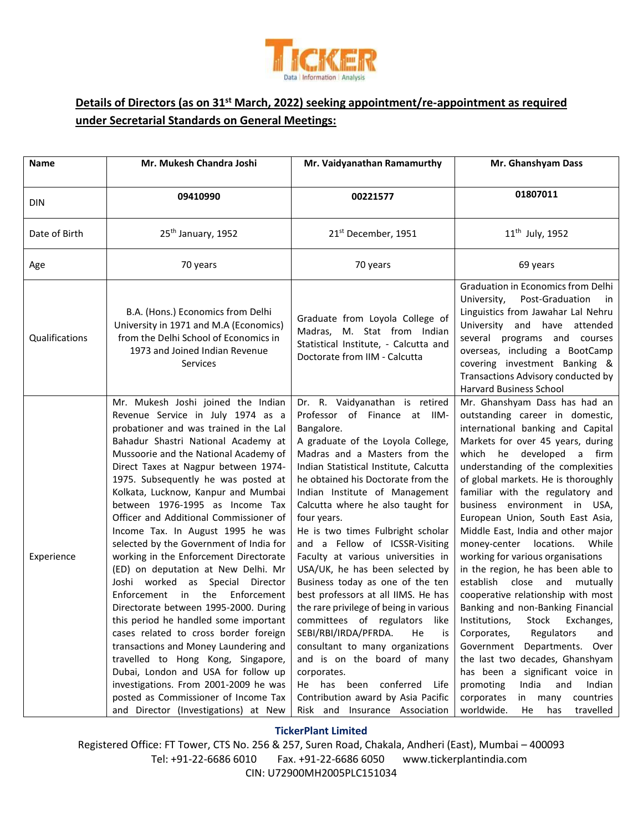

# **Details of Directors (as on 31st March, 2022) seeking appointment/re-appointment as required under Secretarial Standards on General Meetings:**

| <b>Name</b>    | Mr. Mukesh Chandra Joshi                                                                                                                                                                                                                                                                                                                                                                                                                                                                                                                                                                                                                                                                                                                                                                                                                                                                                                                                                                                                 | Mr. Vaidyanathan Ramamurthy                                                                                                                                                                                                                                                                                                                                                                                                                                                                                                                                                                                                                                                                                                                                                                                                                                | Mr. Ghanshyam Dass                                                                                                                                                                                                                                                                                                                                                                                                                                                                                                                                                                                                                                                                                                                                                                                                                                                                                                              |
|----------------|--------------------------------------------------------------------------------------------------------------------------------------------------------------------------------------------------------------------------------------------------------------------------------------------------------------------------------------------------------------------------------------------------------------------------------------------------------------------------------------------------------------------------------------------------------------------------------------------------------------------------------------------------------------------------------------------------------------------------------------------------------------------------------------------------------------------------------------------------------------------------------------------------------------------------------------------------------------------------------------------------------------------------|------------------------------------------------------------------------------------------------------------------------------------------------------------------------------------------------------------------------------------------------------------------------------------------------------------------------------------------------------------------------------------------------------------------------------------------------------------------------------------------------------------------------------------------------------------------------------------------------------------------------------------------------------------------------------------------------------------------------------------------------------------------------------------------------------------------------------------------------------------|---------------------------------------------------------------------------------------------------------------------------------------------------------------------------------------------------------------------------------------------------------------------------------------------------------------------------------------------------------------------------------------------------------------------------------------------------------------------------------------------------------------------------------------------------------------------------------------------------------------------------------------------------------------------------------------------------------------------------------------------------------------------------------------------------------------------------------------------------------------------------------------------------------------------------------|
| DIN            | 09410990                                                                                                                                                                                                                                                                                                                                                                                                                                                                                                                                                                                                                                                                                                                                                                                                                                                                                                                                                                                                                 | 00221577                                                                                                                                                                                                                                                                                                                                                                                                                                                                                                                                                                                                                                                                                                                                                                                                                                                   | 01807011                                                                                                                                                                                                                                                                                                                                                                                                                                                                                                                                                                                                                                                                                                                                                                                                                                                                                                                        |
| Date of Birth  | 25 <sup>th</sup> January, 1952                                                                                                                                                                                                                                                                                                                                                                                                                                                                                                                                                                                                                                                                                                                                                                                                                                                                                                                                                                                           | 21 <sup>st</sup> December, 1951                                                                                                                                                                                                                                                                                                                                                                                                                                                                                                                                                                                                                                                                                                                                                                                                                            | 11 <sup>th</sup> July, 1952                                                                                                                                                                                                                                                                                                                                                                                                                                                                                                                                                                                                                                                                                                                                                                                                                                                                                                     |
| Age            | 70 years                                                                                                                                                                                                                                                                                                                                                                                                                                                                                                                                                                                                                                                                                                                                                                                                                                                                                                                                                                                                                 | 70 years                                                                                                                                                                                                                                                                                                                                                                                                                                                                                                                                                                                                                                                                                                                                                                                                                                                   | 69 years                                                                                                                                                                                                                                                                                                                                                                                                                                                                                                                                                                                                                                                                                                                                                                                                                                                                                                                        |
| Qualifications | B.A. (Hons.) Economics from Delhi<br>University in 1971 and M.A (Economics)<br>from the Delhi School of Economics in<br>1973 and Joined Indian Revenue<br>Services                                                                                                                                                                                                                                                                                                                                                                                                                                                                                                                                                                                                                                                                                                                                                                                                                                                       | Graduate from Loyola College of<br>Madras, M. Stat from Indian<br>Statistical Institute, - Calcutta and<br>Doctorate from IIM - Calcutta                                                                                                                                                                                                                                                                                                                                                                                                                                                                                                                                                                                                                                                                                                                   | Graduation in Economics from Delhi<br>Post-Graduation<br>University,<br>in<br>Linguistics from Jawahar Lal Nehru<br>University and have attended<br>several programs and courses<br>overseas, including a BootCamp<br>covering investment Banking &<br>Transactions Advisory conducted by<br><b>Harvard Business School</b>                                                                                                                                                                                                                                                                                                                                                                                                                                                                                                                                                                                                     |
| Experience     | Mr. Mukesh Joshi joined the Indian<br>Revenue Service in July 1974 as a<br>probationer and was trained in the Lal<br>Bahadur Shastri National Academy at<br>Mussoorie and the National Academy of<br>Direct Taxes at Nagpur between 1974-<br>1975. Subsequently he was posted at<br>Kolkata, Lucknow, Kanpur and Mumbai<br>between 1976-1995 as Income Tax<br>Officer and Additional Commissioner of<br>Income Tax. In August 1995 he was<br>selected by the Government of India for<br>working in the Enforcement Directorate<br>(ED) on deputation at New Delhi. Mr<br>Joshi worked as Special Director<br>Enforcement in the<br>Enforcement<br>Directorate between 1995-2000. During<br>this period he handled some important<br>cases related to cross border foreign<br>transactions and Money Laundering and<br>travelled to Hong Kong, Singapore,<br>Dubai, London and USA for follow up<br>investigations. From 2001-2009 he was<br>posted as Commissioner of Income Tax<br>and Director (Investigations) at New | Dr. R. Vaidyanathan is retired<br>Professor of Finance at IIM-<br>Bangalore.<br>A graduate of the Loyola College,<br>Madras and a Masters from the<br>Indian Statistical Institute, Calcutta<br>he obtained his Doctorate from the<br>Indian Institute of Management<br>Calcutta where he also taught for<br>four years.<br>He is two times Fulbright scholar<br>and a Fellow of ICSSR-Visiting<br>Faculty at various universities in<br>USA/UK, he has been selected by<br>Business today as one of the ten<br>best professors at all IIMS. He has<br>the rare privilege of being in various<br>committees of regulators like<br>SEBI/RBI/IRDA/PFRDA.<br>He<br>is<br>consultant to many organizations<br>and is on the board of many<br>corporates.<br>He has been conferred Life<br>Contribution award by Asia Pacific<br>Risk and Insurance Association | Mr. Ghanshyam Dass has had an<br>outstanding career in domestic,<br>international banking and Capital<br>Markets for over 45 years, during<br>which he developed a firm<br>understanding of the complexities<br>of global markets. He is thoroughly<br>familiar with the regulatory and<br>business environment in USA,<br>European Union, South East Asia,<br>Middle East, India and other major<br>money-center locations.<br>While<br>working for various organisations<br>in the region, he has been able to<br>establish close and<br>mutually<br>cooperative relationship with most<br>Banking and non-Banking Financial<br>Institutions, Stock Exchanges,<br>Corporates,<br>Regulators<br>and<br>Government Departments. Over<br>the last two decades, Ghanshyam<br>has been a significant voice in<br>promoting<br>India<br>and<br>Indian<br>corporates<br>countries<br>in many<br>worldwide.<br>travelled<br>He<br>has |

#### **TickerPlant Limited**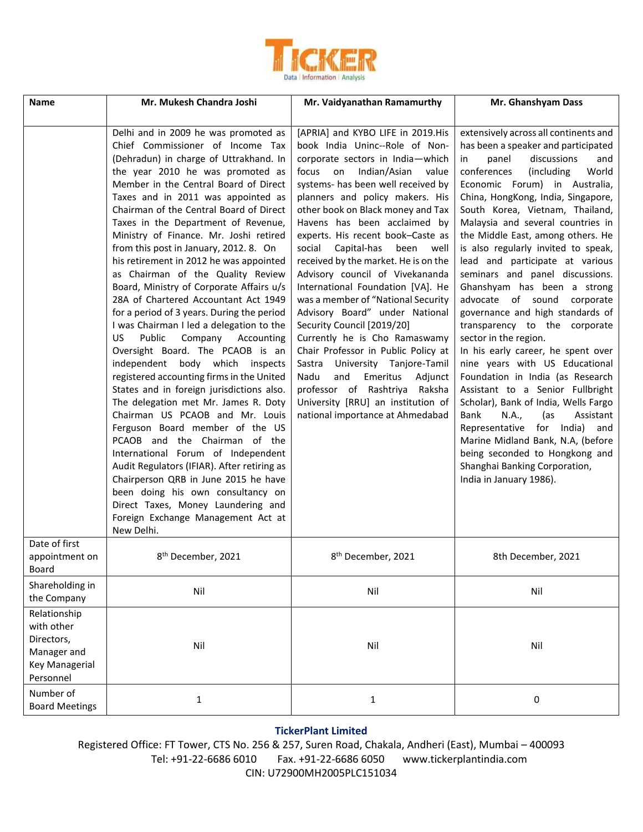

| <b>Name</b>                                                                            | Mr. Mukesh Chandra Joshi                                                                                                                                                                                                                                                                                                                                                                                                                                                                                                                                                                                                                                                                                                                                                                                                                                                                                                                                                                                                                                                                                                                                                                                                                                                                        | Mr. Vaidyanathan Ramamurthy                                                                                                                                                                                                                                                                                                                                                                                                                                                                                                                                                                                                                                                                                                                                                                                                                                | Mr. Ghanshyam Dass                                                                                                                                                                                                                                                                                                                                                                                                                                                                                                                                                                                                                                                                                                                                                                                                                                                                                                                                                                                                        |
|----------------------------------------------------------------------------------------|-------------------------------------------------------------------------------------------------------------------------------------------------------------------------------------------------------------------------------------------------------------------------------------------------------------------------------------------------------------------------------------------------------------------------------------------------------------------------------------------------------------------------------------------------------------------------------------------------------------------------------------------------------------------------------------------------------------------------------------------------------------------------------------------------------------------------------------------------------------------------------------------------------------------------------------------------------------------------------------------------------------------------------------------------------------------------------------------------------------------------------------------------------------------------------------------------------------------------------------------------------------------------------------------------|------------------------------------------------------------------------------------------------------------------------------------------------------------------------------------------------------------------------------------------------------------------------------------------------------------------------------------------------------------------------------------------------------------------------------------------------------------------------------------------------------------------------------------------------------------------------------------------------------------------------------------------------------------------------------------------------------------------------------------------------------------------------------------------------------------------------------------------------------------|---------------------------------------------------------------------------------------------------------------------------------------------------------------------------------------------------------------------------------------------------------------------------------------------------------------------------------------------------------------------------------------------------------------------------------------------------------------------------------------------------------------------------------------------------------------------------------------------------------------------------------------------------------------------------------------------------------------------------------------------------------------------------------------------------------------------------------------------------------------------------------------------------------------------------------------------------------------------------------------------------------------------------|
|                                                                                        | Delhi and in 2009 he was promoted as<br>Chief Commissioner of Income Tax<br>(Dehradun) in charge of Uttrakhand. In<br>the year 2010 he was promoted as<br>Member in the Central Board of Direct<br>Taxes and in 2011 was appointed as<br>Chairman of the Central Board of Direct<br>Taxes in the Department of Revenue,<br>Ministry of Finance. Mr. Joshi retired<br>from this post in January, 2012. 8. On<br>his retirement in 2012 he was appointed<br>as Chairman of the Quality Review<br>Board, Ministry of Corporate Affairs u/s<br>28A of Chartered Accountant Act 1949<br>for a period of 3 years. During the period<br>I was Chairman I led a delegation to the<br>Public<br>US.<br>Company<br>Accounting<br>Oversight Board. The PCAOB is an<br>independent body which inspects<br>registered accounting firms in the United<br>States and in foreign jurisdictions also.<br>The delegation met Mr. James R. Doty<br>Chairman US PCAOB and Mr. Louis<br>Ferguson Board member of the US<br>PCAOB and the Chairman of the<br>International Forum of Independent<br>Audit Regulators (IFIAR). After retiring as<br>Chairperson QRB in June 2015 he have<br>been doing his own consultancy on<br>Direct Taxes, Money Laundering and<br>Foreign Exchange Management Act at<br>New Delhi. | [APRIA] and KYBO LIFE in 2019.His<br>book India Uninc--Role of Non-<br>corporate sectors in India-which<br>Indian/Asian<br>focus<br>on<br>value<br>systems- has been well received by<br>planners and policy makers. His<br>other book on Black money and Tax<br>Havens has been acclaimed by<br>experts. His recent book-Caste as<br>social<br>Capital-has<br>been well<br>received by the market. He is on the<br>Advisory council of Vivekananda<br>International Foundation [VA]. He<br>was a member of "National Security<br>Advisory Board" under National<br>Security Council [2019/20]<br>Currently he is Cho Ramaswamy<br>Chair Professor in Public Policy at<br>Sastra University Tanjore-Tamil<br>Nadu<br>and<br>Emeritus<br>Adjunct<br>professor of Rashtriya Raksha<br>University [RRU] an institution of<br>national importance at Ahmedabad | extensively across all continents and<br>has been a speaker and participated<br>discussions<br>panel<br>and<br>in.<br>conferences<br>(including<br>World<br>Economic Forum) in Australia,<br>China, HongKong, India, Singapore,<br>South Korea, Vietnam, Thailand,<br>Malaysia and several countries in<br>the Middle East, among others. He<br>is also regularly invited to speak,<br>lead and participate at various<br>seminars and panel discussions.<br>Ghanshyam has been a strong<br>advocate of sound<br>corporate<br>governance and high standards of<br>transparency to the corporate<br>sector in the region.<br>In his early career, he spent over<br>nine years with US Educational<br>Foundation in India (as Research<br>Assistant to a Senior Fullbright<br>Scholar), Bank of India, Wells Fargo<br>Bank<br>N.A.,<br>(as<br>Assistant<br>Representative for India) and<br>Marine Midland Bank, N.A, (before<br>being seconded to Hongkong and<br>Shanghai Banking Corporation,<br>India in January 1986). |
| Date of first<br>appointment on<br>Board                                               | 8 <sup>th</sup> December, 2021                                                                                                                                                                                                                                                                                                                                                                                                                                                                                                                                                                                                                                                                                                                                                                                                                                                                                                                                                                                                                                                                                                                                                                                                                                                                  | 8 <sup>th</sup> December, 2021                                                                                                                                                                                                                                                                                                                                                                                                                                                                                                                                                                                                                                                                                                                                                                                                                             | 8th December, 2021                                                                                                                                                                                                                                                                                                                                                                                                                                                                                                                                                                                                                                                                                                                                                                                                                                                                                                                                                                                                        |
| Shareholding in<br>the Company                                                         | Nil                                                                                                                                                                                                                                                                                                                                                                                                                                                                                                                                                                                                                                                                                                                                                                                                                                                                                                                                                                                                                                                                                                                                                                                                                                                                                             | Nil                                                                                                                                                                                                                                                                                                                                                                                                                                                                                                                                                                                                                                                                                                                                                                                                                                                        | Nil                                                                                                                                                                                                                                                                                                                                                                                                                                                                                                                                                                                                                                                                                                                                                                                                                                                                                                                                                                                                                       |
| Relationship<br>with other<br>Directors,<br>Manager and<br>Key Managerial<br>Personnel | Nil                                                                                                                                                                                                                                                                                                                                                                                                                                                                                                                                                                                                                                                                                                                                                                                                                                                                                                                                                                                                                                                                                                                                                                                                                                                                                             | Nil                                                                                                                                                                                                                                                                                                                                                                                                                                                                                                                                                                                                                                                                                                                                                                                                                                                        | Nil                                                                                                                                                                                                                                                                                                                                                                                                                                                                                                                                                                                                                                                                                                                                                                                                                                                                                                                                                                                                                       |
| Number of<br><b>Board Meetings</b>                                                     | $\mathbf{1}$                                                                                                                                                                                                                                                                                                                                                                                                                                                                                                                                                                                                                                                                                                                                                                                                                                                                                                                                                                                                                                                                                                                                                                                                                                                                                    | $\mathbf{1}$                                                                                                                                                                                                                                                                                                                                                                                                                                                                                                                                                                                                                                                                                                                                                                                                                                               | 0                                                                                                                                                                                                                                                                                                                                                                                                                                                                                                                                                                                                                                                                                                                                                                                                                                                                                                                                                                                                                         |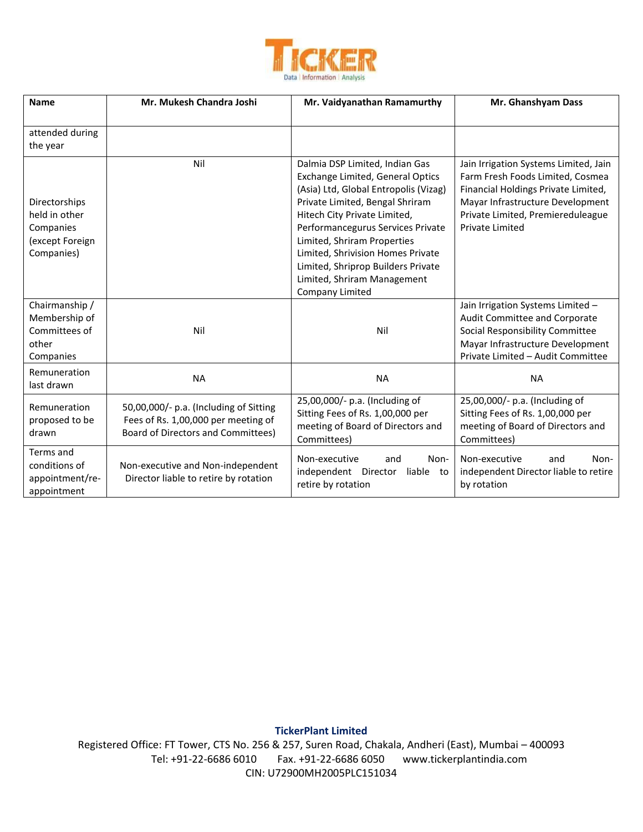

| <b>Name</b>                                                                  | Mr. Mukesh Chandra Joshi                                                                                                   | Mr. Vaidyanathan Ramamurthy                                                                                                                                                                                                                                                                                                                                                     | Mr. Ghanshyam Dass                                                                                                                                                                                                  |
|------------------------------------------------------------------------------|----------------------------------------------------------------------------------------------------------------------------|---------------------------------------------------------------------------------------------------------------------------------------------------------------------------------------------------------------------------------------------------------------------------------------------------------------------------------------------------------------------------------|---------------------------------------------------------------------------------------------------------------------------------------------------------------------------------------------------------------------|
| attended during<br>the year                                                  |                                                                                                                            |                                                                                                                                                                                                                                                                                                                                                                                 |                                                                                                                                                                                                                     |
| Directorships<br>held in other<br>Companies<br>(except Foreign<br>Companies) | Nil                                                                                                                        | Dalmia DSP Limited, Indian Gas<br>Exchange Limited, General Optics<br>(Asia) Ltd, Global Entropolis (Vizag)<br>Private Limited, Bengal Shriram<br>Hitech City Private Limited,<br>Performancegurus Services Private<br>Limited, Shriram Properties<br>Limited, Shrivision Homes Private<br>Limited, Shriprop Builders Private<br>Limited, Shriram Management<br>Company Limited | Jain Irrigation Systems Limited, Jain<br>Farm Fresh Foods Limited, Cosmea<br>Financial Holdings Private Limited,<br>Mayar Infrastructure Development<br>Private Limited, Premiereduleague<br><b>Private Limited</b> |
| Chairmanship /<br>Membership of<br>Committees of<br>other<br>Companies       | Nil                                                                                                                        | Nil                                                                                                                                                                                                                                                                                                                                                                             | Jain Irrigation Systems Limited -<br>Audit Committee and Corporate<br>Social Responsibility Committee<br>Mayar Infrastructure Development<br>Private Limited - Audit Committee                                      |
| Remuneration<br>last drawn                                                   | <b>NA</b>                                                                                                                  | <b>NA</b>                                                                                                                                                                                                                                                                                                                                                                       | <b>NA</b>                                                                                                                                                                                                           |
| Remuneration<br>proposed to be<br>drawn                                      | 50,00,000/- p.a. (Including of Sitting<br>Fees of Rs. 1,00,000 per meeting of<br><b>Board of Directors and Committees)</b> | 25,00,000/- p.a. (Including of<br>Sitting Fees of Rs. 1,00,000 per<br>meeting of Board of Directors and<br>Committees)                                                                                                                                                                                                                                                          | 25,00,000/- p.a. (Including of<br>Sitting Fees of Rs. 1,00,000 per<br>meeting of Board of Directors and<br>Committees)                                                                                              |
| Terms and<br>conditions of<br>appointment/re-<br>appointment                 | Non-executive and Non-independent<br>Director liable to retire by rotation                                                 | Non-executive<br>Non-<br>and<br>independent Director<br>liable to<br>retire by rotation                                                                                                                                                                                                                                                                                         | Non-executive<br>Non-<br>and<br>independent Director liable to retire<br>by rotation                                                                                                                                |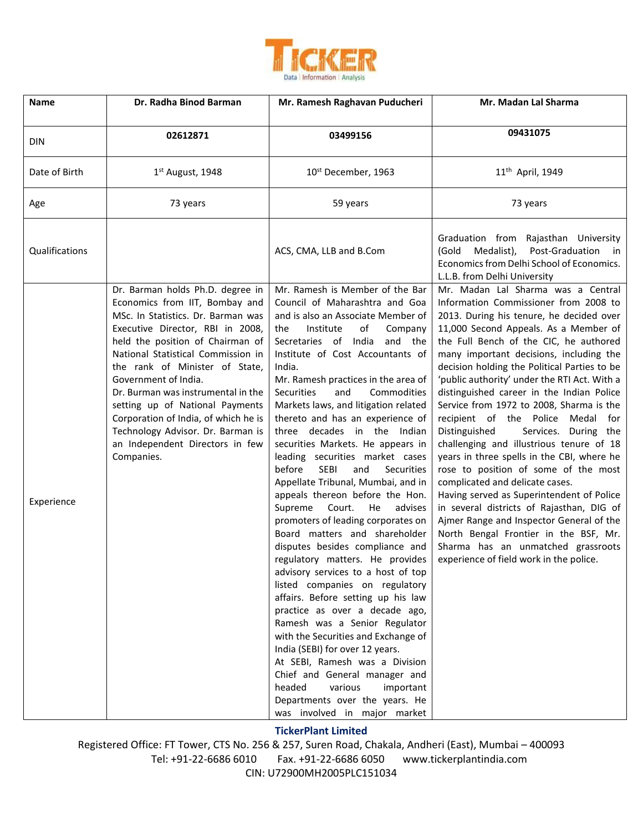

| <b>Name</b>    | Dr. Radha Binod Barman                                                                                                                                                                                                                                                                                                                                                                                                                                                                  | Mr. Ramesh Raghavan Puducheri                                                                                                                                                                                                                                                                                                                                                                                                                                                                                                                                                                                                                                                                                                                                                                                                                                                                                                                                                                                                                                                                                                                                                                                                                  | Mr. Madan Lal Sharma                                                                                                                                                                                                                                                                                                                                                                                                                                                                                                                                                                                                                                                                                                                                                                                                                                                                                                                                              |
|----------------|-----------------------------------------------------------------------------------------------------------------------------------------------------------------------------------------------------------------------------------------------------------------------------------------------------------------------------------------------------------------------------------------------------------------------------------------------------------------------------------------|------------------------------------------------------------------------------------------------------------------------------------------------------------------------------------------------------------------------------------------------------------------------------------------------------------------------------------------------------------------------------------------------------------------------------------------------------------------------------------------------------------------------------------------------------------------------------------------------------------------------------------------------------------------------------------------------------------------------------------------------------------------------------------------------------------------------------------------------------------------------------------------------------------------------------------------------------------------------------------------------------------------------------------------------------------------------------------------------------------------------------------------------------------------------------------------------------------------------------------------------|-------------------------------------------------------------------------------------------------------------------------------------------------------------------------------------------------------------------------------------------------------------------------------------------------------------------------------------------------------------------------------------------------------------------------------------------------------------------------------------------------------------------------------------------------------------------------------------------------------------------------------------------------------------------------------------------------------------------------------------------------------------------------------------------------------------------------------------------------------------------------------------------------------------------------------------------------------------------|
| <b>DIN</b>     | 02612871                                                                                                                                                                                                                                                                                                                                                                                                                                                                                | 03499156                                                                                                                                                                                                                                                                                                                                                                                                                                                                                                                                                                                                                                                                                                                                                                                                                                                                                                                                                                                                                                                                                                                                                                                                                                       | 09431075                                                                                                                                                                                                                                                                                                                                                                                                                                                                                                                                                                                                                                                                                                                                                                                                                                                                                                                                                          |
| Date of Birth  | 1 <sup>st</sup> August, 1948                                                                                                                                                                                                                                                                                                                                                                                                                                                            | 10 <sup>st</sup> December, 1963                                                                                                                                                                                                                                                                                                                                                                                                                                                                                                                                                                                                                                                                                                                                                                                                                                                                                                                                                                                                                                                                                                                                                                                                                | 11 <sup>th</sup> April, 1949                                                                                                                                                                                                                                                                                                                                                                                                                                                                                                                                                                                                                                                                                                                                                                                                                                                                                                                                      |
| Age            | 73 years                                                                                                                                                                                                                                                                                                                                                                                                                                                                                | 59 years                                                                                                                                                                                                                                                                                                                                                                                                                                                                                                                                                                                                                                                                                                                                                                                                                                                                                                                                                                                                                                                                                                                                                                                                                                       | 73 years                                                                                                                                                                                                                                                                                                                                                                                                                                                                                                                                                                                                                                                                                                                                                                                                                                                                                                                                                          |
| Qualifications |                                                                                                                                                                                                                                                                                                                                                                                                                                                                                         | ACS, CMA, LLB and B.Com                                                                                                                                                                                                                                                                                                                                                                                                                                                                                                                                                                                                                                                                                                                                                                                                                                                                                                                                                                                                                                                                                                                                                                                                                        | Graduation from Rajasthan University<br>Post-Graduation<br>Medalist),<br>(Gold<br>in in<br>Economics from Delhi School of Economics.<br>L.L.B. from Delhi University                                                                                                                                                                                                                                                                                                                                                                                                                                                                                                                                                                                                                                                                                                                                                                                              |
| Experience     | Dr. Barman holds Ph.D. degree in<br>Economics from IIT, Bombay and<br>MSc. In Statistics. Dr. Barman was<br>Executive Director, RBI in 2008,<br>held the position of Chairman of<br>National Statistical Commission in<br>the rank of Minister of State,<br>Government of India.<br>Dr. Burman was instrumental in the<br>setting up of National Payments<br>Corporation of India, of which he is<br>Technology Advisor. Dr. Barman is<br>an Independent Directors in few<br>Companies. | Mr. Ramesh is Member of the Bar<br>Council of Maharashtra and Goa<br>and is also an Associate Member of<br>of<br>Institute<br>Company<br>the<br>Secretaries of India<br>and the<br>Institute of Cost Accountants of<br>India.<br>Mr. Ramesh practices in the area of<br><b>Securities</b><br>and<br>Commodities<br>Markets laws, and litigation related<br>thereto and has an experience of<br>three decades in the Indian<br>securities Markets. He appears in<br>leading securities market cases<br>before<br><b>SEBI</b><br>and<br>Securities<br>Appellate Tribunal, Mumbai, and in<br>appeals thereon before the Hon.<br>Supreme<br>Court.<br>He<br>advises<br>promoters of leading corporates on<br>Board matters and shareholder<br>disputes besides compliance and<br>regulatory matters. He provides<br>advisory services to a host of top<br>listed companies on regulatory<br>affairs. Before setting up his law<br>practice as over a decade ago,<br>Ramesh was a Senior Regulator<br>with the Securities and Exchange of<br>India (SEBI) for over 12 years.<br>At SEBI, Ramesh was a Division<br>Chief and General manager and<br>various<br>headed<br>important<br>Departments over the years. He<br>was involved in major market | Mr. Madan Lal Sharma was a Central<br>Information Commissioner from 2008 to<br>2013. During his tenure, he decided over<br>11,000 Second Appeals. As a Member of<br>the Full Bench of the CIC, he authored<br>many important decisions, including the<br>decision holding the Political Parties to be<br>'public authority' under the RTI Act. With a<br>distinguished career in the Indian Police<br>Service from 1972 to 2008, Sharma is the<br>recipient of the Police Medal for<br>Distinguished<br>Services. During the<br>challenging and illustrious tenure of 18<br>years in three spells in the CBI, where he<br>rose to position of some of the most<br>complicated and delicate cases.<br>Having served as Superintendent of Police<br>in several districts of Rajasthan, DIG of<br>Ajmer Range and Inspector General of the<br>North Bengal Frontier in the BSF, Mr.<br>Sharma has an unmatched grassroots<br>experience of field work in the police. |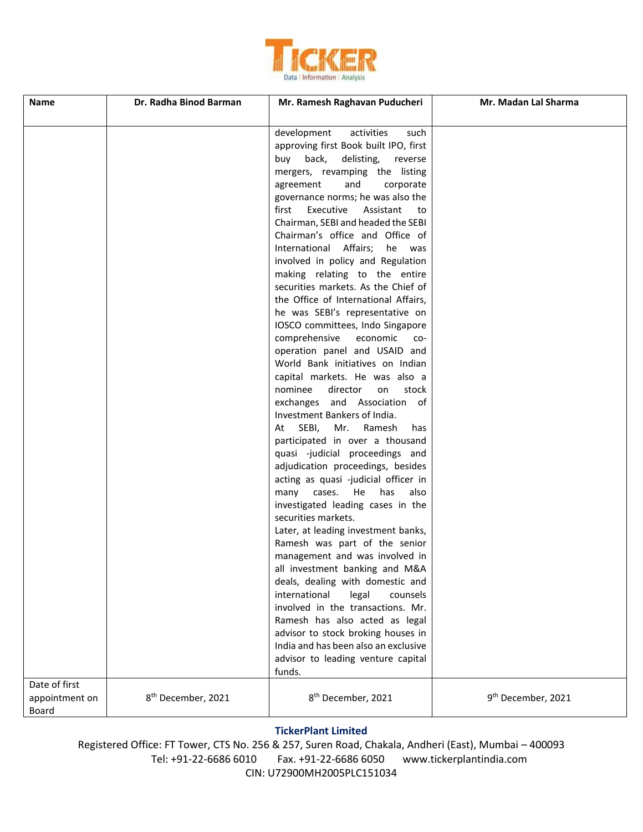

| <b>Name</b>                              | Dr. Radha Binod Barman         | Mr. Ramesh Raghavan Puducheri                                                                                                                                                                                                                                                                                                                                                                                                                                                                                                                                                                                                                                                                                                                                                                                                                                                                                                                                                                                                                                                                                                                                                                                                                                                                                                                                                                                                                                                                                                                                          | Mr. Madan Lal Sharma           |
|------------------------------------------|--------------------------------|------------------------------------------------------------------------------------------------------------------------------------------------------------------------------------------------------------------------------------------------------------------------------------------------------------------------------------------------------------------------------------------------------------------------------------------------------------------------------------------------------------------------------------------------------------------------------------------------------------------------------------------------------------------------------------------------------------------------------------------------------------------------------------------------------------------------------------------------------------------------------------------------------------------------------------------------------------------------------------------------------------------------------------------------------------------------------------------------------------------------------------------------------------------------------------------------------------------------------------------------------------------------------------------------------------------------------------------------------------------------------------------------------------------------------------------------------------------------------------------------------------------------------------------------------------------------|--------------------------------|
|                                          |                                | development<br>activities<br>such<br>approving first Book built IPO, first<br>back,<br>delisting,<br>buy<br>reverse<br>mergers, revamping the listing<br>agreement<br>and<br>corporate<br>governance norms; he was also the<br>first<br>Executive<br>Assistant<br>to<br>Chairman, SEBI and headed the SEBI<br>Chairman's office and Office of<br>International Affairs;<br>he<br>was<br>involved in policy and Regulation<br>making relating to the entire<br>securities markets. As the Chief of<br>the Office of International Affairs,<br>he was SEBI's representative on<br>IOSCO committees, Indo Singapore<br>comprehensive economic<br>CO-<br>operation panel and USAID and<br>World Bank initiatives on Indian<br>capital markets. He was also a<br>nominee<br>director<br>stock<br>on<br>exchanges and Association of<br>Investment Bankers of India.<br>At SEBI,<br>Mr.<br>Ramesh<br>has<br>participated in over a thousand<br>quasi -judicial proceedings and<br>adjudication proceedings, besides<br>acting as quasi -judicial officer in<br>He has<br>cases.<br>also<br>many<br>investigated leading cases in the<br>securities markets.<br>Later, at leading investment banks,<br>Ramesh was part of the senior<br>management and was involved in<br>all investment banking and M&A<br>deals, dealing with domestic and<br>international<br>legal<br>counsels<br>involved in the transactions. Mr.<br>Ramesh has also acted as legal<br>advisor to stock broking houses in<br>India and has been also an exclusive<br>advisor to leading venture capital |                                |
| Date of first<br>appointment on<br>Board | 8 <sup>th</sup> December, 2021 | funds.<br>8 <sup>th</sup> December, 2021                                                                                                                                                                                                                                                                                                                                                                                                                                                                                                                                                                                                                                                                                                                                                                                                                                                                                                                                                                                                                                                                                                                                                                                                                                                                                                                                                                                                                                                                                                                               | 9 <sup>th</sup> December, 2021 |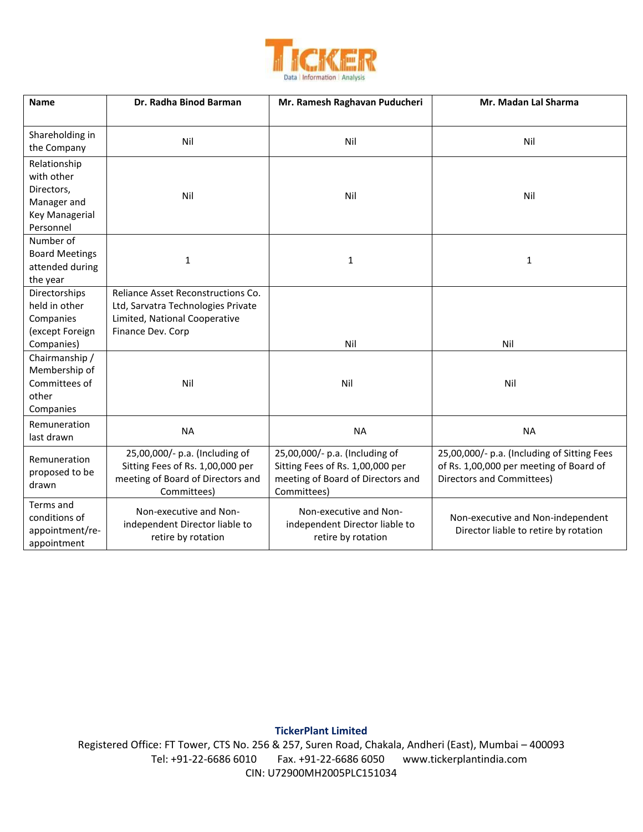

| <b>Name</b>                      | Dr. Radha Binod Barman             | Mr. Ramesh Raghavan Puducheri     | Mr. Madan Lal Sharma                        |
|----------------------------------|------------------------------------|-----------------------------------|---------------------------------------------|
|                                  |                                    |                                   |                                             |
| Shareholding in                  | Nil                                | Nil                               | Nil                                         |
| the Company                      |                                    |                                   |                                             |
| Relationship                     |                                    |                                   |                                             |
| with other                       |                                    |                                   |                                             |
| Directors,                       | Nil                                | Nil                               | Nil                                         |
| Manager and                      |                                    |                                   |                                             |
| Key Managerial                   |                                    |                                   |                                             |
| Personnel                        |                                    |                                   |                                             |
| Number of                        |                                    |                                   |                                             |
| <b>Board Meetings</b>            | 1                                  | $\mathbf{1}$                      | $\mathbf{1}$                                |
| attended during                  |                                    |                                   |                                             |
| the year                         |                                    |                                   |                                             |
| Directorships                    | Reliance Asset Reconstructions Co. |                                   |                                             |
| held in other                    | Ltd, Sarvatra Technologies Private |                                   |                                             |
| Companies                        | Limited, National Cooperative      |                                   |                                             |
| (except Foreign                  | Finance Dev. Corp                  |                                   |                                             |
| Companies)                       |                                    | Nil                               | Nil                                         |
| Chairmanship /                   |                                    |                                   |                                             |
| Membership of                    |                                    |                                   |                                             |
| Committees of                    | Nil                                | Nil                               | Nil                                         |
| other                            |                                    |                                   |                                             |
| Companies                        |                                    |                                   |                                             |
| Remuneration                     | <b>NA</b>                          | <b>NA</b>                         | <b>NA</b>                                   |
| last drawn                       |                                    |                                   |                                             |
| Remuneration                     | 25,00,000/- p.a. (Including of     | 25,00,000/- p.a. (Including of    | 25,00,000/- p.a. (Including of Sitting Fees |
| proposed to be                   | Sitting Fees of Rs. 1,00,000 per   | Sitting Fees of Rs. 1,00,000 per  | of Rs. 1,00,000 per meeting of Board of     |
| drawn                            | meeting of Board of Directors and  | meeting of Board of Directors and | Directors and Committees)                   |
|                                  | Committees)                        | Committees)                       |                                             |
| Terms and                        | Non-executive and Non-             | Non-executive and Non-            |                                             |
| conditions of<br>appointment/re- | independent Director liable to     | independent Director liable to    | Non-executive and Non-independent           |
| appointment                      | retire by rotation                 | retire by rotation                | Director liable to retire by rotation       |
|                                  |                                    |                                   |                                             |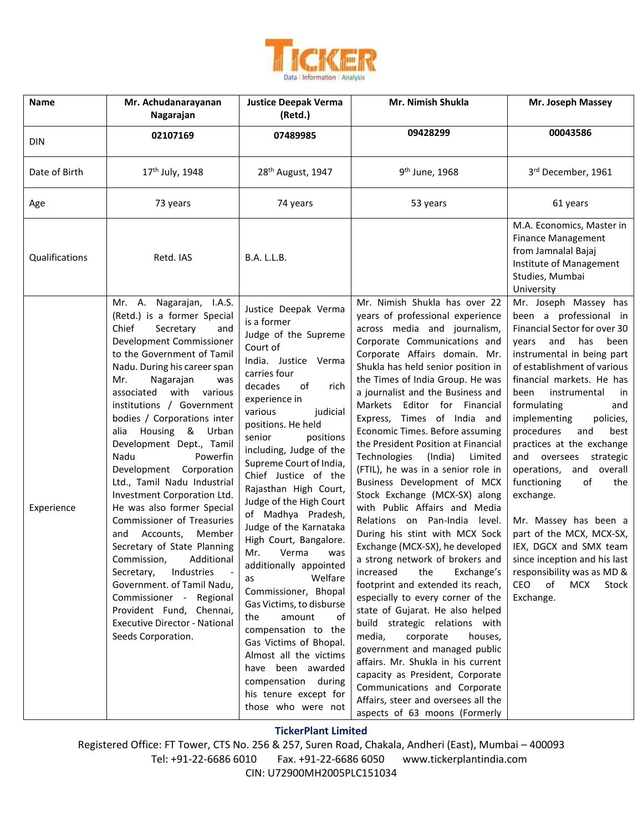

| Name           | Mr. Achudanarayanan<br>Nagarajan                                                                                                                                                                                                                                                                                                                                                                                                                                                                                                                                                                                                                                                                                                                                                                             | <b>Justice Deepak Verma</b><br>(Retd.)                                                                                                                                                                                                                                                                                                                                                                                                                                                                                                                                                                                                                                                                                                                       | Mr. Nimish Shukla                                                                                                                                                                                                                                                                                                                                                                                                                                                                                                                                                                                                                                                                                                                                                                                                                                                                                                                                                                                                                                                                                                                                                                       | Mr. Joseph Massey                                                                                                                                                                                                                                                                                                                                                                                                                                                                                                                                                                                                                                            |
|----------------|--------------------------------------------------------------------------------------------------------------------------------------------------------------------------------------------------------------------------------------------------------------------------------------------------------------------------------------------------------------------------------------------------------------------------------------------------------------------------------------------------------------------------------------------------------------------------------------------------------------------------------------------------------------------------------------------------------------------------------------------------------------------------------------------------------------|--------------------------------------------------------------------------------------------------------------------------------------------------------------------------------------------------------------------------------------------------------------------------------------------------------------------------------------------------------------------------------------------------------------------------------------------------------------------------------------------------------------------------------------------------------------------------------------------------------------------------------------------------------------------------------------------------------------------------------------------------------------|-----------------------------------------------------------------------------------------------------------------------------------------------------------------------------------------------------------------------------------------------------------------------------------------------------------------------------------------------------------------------------------------------------------------------------------------------------------------------------------------------------------------------------------------------------------------------------------------------------------------------------------------------------------------------------------------------------------------------------------------------------------------------------------------------------------------------------------------------------------------------------------------------------------------------------------------------------------------------------------------------------------------------------------------------------------------------------------------------------------------------------------------------------------------------------------------|--------------------------------------------------------------------------------------------------------------------------------------------------------------------------------------------------------------------------------------------------------------------------------------------------------------------------------------------------------------------------------------------------------------------------------------------------------------------------------------------------------------------------------------------------------------------------------------------------------------------------------------------------------------|
| <b>DIN</b>     | 02107169                                                                                                                                                                                                                                                                                                                                                                                                                                                                                                                                                                                                                                                                                                                                                                                                     | 07489985                                                                                                                                                                                                                                                                                                                                                                                                                                                                                                                                                                                                                                                                                                                                                     | 09428299                                                                                                                                                                                                                                                                                                                                                                                                                                                                                                                                                                                                                                                                                                                                                                                                                                                                                                                                                                                                                                                                                                                                                                                | 00043586                                                                                                                                                                                                                                                                                                                                                                                                                                                                                                                                                                                                                                                     |
| Date of Birth  | 17 <sup>th</sup> July, 1948                                                                                                                                                                                                                                                                                                                                                                                                                                                                                                                                                                                                                                                                                                                                                                                  | 28 <sup>th</sup> August, 1947                                                                                                                                                                                                                                                                                                                                                                                                                                                                                                                                                                                                                                                                                                                                | 9 <sup>th</sup> June, 1968                                                                                                                                                                                                                                                                                                                                                                                                                                                                                                                                                                                                                                                                                                                                                                                                                                                                                                                                                                                                                                                                                                                                                              | 3rd December, 1961                                                                                                                                                                                                                                                                                                                                                                                                                                                                                                                                                                                                                                           |
| Age            | 73 years                                                                                                                                                                                                                                                                                                                                                                                                                                                                                                                                                                                                                                                                                                                                                                                                     | 74 years                                                                                                                                                                                                                                                                                                                                                                                                                                                                                                                                                                                                                                                                                                                                                     | 53 years                                                                                                                                                                                                                                                                                                                                                                                                                                                                                                                                                                                                                                                                                                                                                                                                                                                                                                                                                                                                                                                                                                                                                                                | 61 years                                                                                                                                                                                                                                                                                                                                                                                                                                                                                                                                                                                                                                                     |
| Qualifications | Retd. IAS                                                                                                                                                                                                                                                                                                                                                                                                                                                                                                                                                                                                                                                                                                                                                                                                    | <b>B.A. L.L.B.</b>                                                                                                                                                                                                                                                                                                                                                                                                                                                                                                                                                                                                                                                                                                                                           |                                                                                                                                                                                                                                                                                                                                                                                                                                                                                                                                                                                                                                                                                                                                                                                                                                                                                                                                                                                                                                                                                                                                                                                         | M.A. Economics, Master in<br><b>Finance Management</b><br>from Jamnalal Bajaj<br>Institute of Management<br>Studies, Mumbai<br>University                                                                                                                                                                                                                                                                                                                                                                                                                                                                                                                    |
| Experience     | Mr. A. Nagarajan, I.A.S.<br>(Retd.) is a former Special<br>Chief<br>Secretary<br>and<br>Development Commissioner<br>to the Government of Tamil<br>Nadu. During his career span<br>Mr.<br>Nagarajan<br>was<br>associated<br>with<br>various<br>institutions / Government<br>bodies / Corporations inter<br>alia Housing & Urban<br>Development Dept., Tamil<br>Nadu<br>Powerfin<br>Development Corporation<br>Ltd., Tamil Nadu Industrial<br>Investment Corporation Ltd.<br>He was also former Special<br>Commissioner of Treasuries<br>Accounts,<br>Member<br>and<br>Secretary of State Planning<br>Commission,<br>Additional<br>Secretary,<br>Industries<br>Government. of Tamil Nadu,<br>Commissioner - Regional<br>Provident Fund, Chennai,<br><b>Executive Director - National</b><br>Seeds Corporation. | Justice Deepak Verma<br>is a former<br>Judge of the Supreme<br>Court of<br>India. Justice Verma<br>carries four<br>decades<br>of<br>rich<br>experience in<br>various<br>judicial<br>positions. He held<br>senior<br>positions<br>including, Judge of the<br>Supreme Court of India,<br>Chief Justice of the<br>Rajasthan High Court,<br>Judge of the High Court<br>of Madhya Pradesh,<br>Judge of the Karnataka<br>High Court, Bangalore.<br>Verma<br>Mr.<br>was<br>additionally appointed<br>Welfare<br>as<br>Commissioner, Bhopal<br>Gas Victims, to disburse<br>the<br>amount<br>οf<br>compensation to the<br>Gas Victims of Bhopal.<br>Almost all the victims<br>have been awarded<br>compensation during<br>his tenure except for<br>those who were not | Mr. Nimish Shukla has over 22<br>years of professional experience<br>across media and journalism,<br>Corporate Communications and<br>Corporate Affairs domain. Mr.<br>Shukla has held senior position in<br>the Times of India Group. He was<br>a journalist and the Business and<br>Markets Editor for Financial<br>Express, Times of India and<br>Economic Times. Before assuming<br>the President Position at Financial<br>Technologies<br>(India)<br>Limited<br>(FTIL), he was in a senior role in<br>Business Development of MCX<br>Stock Exchange (MCX-SX) along<br>with Public Affairs and Media<br>Relations on Pan-India level.<br>During his stint with MCX Sock<br>Exchange (MCX-SX), he developed<br>a strong network of brokers and<br>Exchange's<br>the<br>increased<br>footprint and extended its reach,<br>especially to every corner of the<br>state of Gujarat. He also helped<br>build strategic relations with<br>media,<br>corporate<br>houses,<br>government and managed public<br>affairs. Mr. Shukla in his current<br>capacity as President, Corporate<br>Communications and Corporate<br>Affairs, steer and oversees all the<br>aspects of 63 moons (Formerly | Mr. Joseph Massey has<br>been a professional in<br>Financial Sector for over 30<br>and<br>has<br>been<br>years<br>instrumental in being part<br>of establishment of various<br>financial markets. He has<br>instrumental<br>been<br>in<br>formulating<br>and<br>implementing<br>policies,<br>procedures<br>and<br>best<br>practices at the exchange<br>and oversees<br>strategic<br>operations,<br>and overall<br>functioning<br>of<br>the<br>exchange.<br>Mr. Massey has been a<br>part of the MCX, MCX-SX,<br>IEX, DGCX and SMX team<br>since inception and his last<br>responsibility was as MD &<br><b>CEO</b><br>of<br><b>MCX</b><br>Stock<br>Exchange. |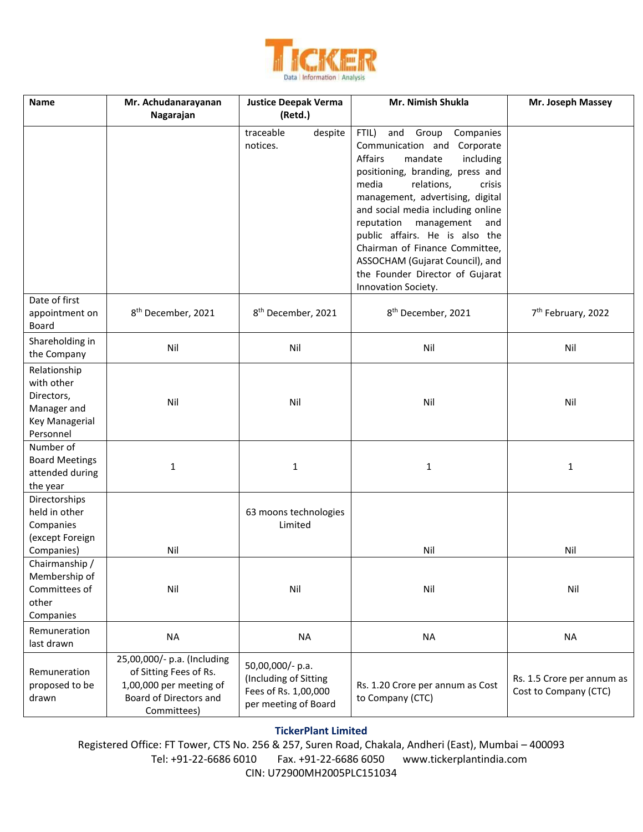

| <b>Name</b>                                                                            | Mr. Achudanarayanan<br>Nagarajan                                                                                          | <b>Justice Deepak Verma</b><br>(Retd.)                                                    | Mr. Nimish Shukla                                                                                                                                                                                                                                                                                                                                                                                                                                | Mr. Joseph Massey                                   |
|----------------------------------------------------------------------------------------|---------------------------------------------------------------------------------------------------------------------------|-------------------------------------------------------------------------------------------|--------------------------------------------------------------------------------------------------------------------------------------------------------------------------------------------------------------------------------------------------------------------------------------------------------------------------------------------------------------------------------------------------------------------------------------------------|-----------------------------------------------------|
|                                                                                        |                                                                                                                           | traceable<br>despite<br>notices.                                                          | FTIL)<br>and Group<br>Companies<br>Communication and Corporate<br>Affairs<br>mandate<br>including<br>positioning, branding, press and<br>media<br>relations,<br>crisis<br>management, advertising, digital<br>and social media including online<br>reputation management<br>and<br>public affairs. He is also the<br>Chairman of Finance Committee,<br>ASSOCHAM (Gujarat Council), and<br>the Founder Director of Gujarat<br>Innovation Society. |                                                     |
| Date of first<br>appointment on<br>Board                                               | 8 <sup>th</sup> December, 2021                                                                                            | 8 <sup>th</sup> December, 2021                                                            | 8 <sup>th</sup> December, 2021                                                                                                                                                                                                                                                                                                                                                                                                                   | 7 <sup>th</sup> February, 2022                      |
| Shareholding in<br>the Company                                                         | Nil                                                                                                                       | Nil                                                                                       | Nil                                                                                                                                                                                                                                                                                                                                                                                                                                              | Nil                                                 |
| Relationship<br>with other<br>Directors,<br>Manager and<br>Key Managerial<br>Personnel | Nil                                                                                                                       | Nil                                                                                       | Nil                                                                                                                                                                                                                                                                                                                                                                                                                                              | Nil                                                 |
| Number of<br><b>Board Meetings</b><br>attended during<br>the year                      | $\mathbf{1}$                                                                                                              | $\mathbf{1}$<br>$\mathbf{1}$                                                              |                                                                                                                                                                                                                                                                                                                                                                                                                                                  | 1                                                   |
| Directorships<br>held in other<br>Companies<br>(except Foreign                         |                                                                                                                           | 63 moons technologies<br>Limited                                                          |                                                                                                                                                                                                                                                                                                                                                                                                                                                  |                                                     |
| Companies)                                                                             | Nil                                                                                                                       |                                                                                           | Nil                                                                                                                                                                                                                                                                                                                                                                                                                                              | Nil                                                 |
| Chairmanship /<br>Membership of<br>Committees of<br>other<br>Companies                 | Nil                                                                                                                       | Nil                                                                                       | Nil                                                                                                                                                                                                                                                                                                                                                                                                                                              | Nil                                                 |
| Remuneration<br>last drawn                                                             | <b>NA</b>                                                                                                                 | <b>NA</b>                                                                                 | <b>NA</b>                                                                                                                                                                                                                                                                                                                                                                                                                                        | <b>NA</b>                                           |
| Remuneration<br>proposed to be<br>drawn                                                | 25,00,000/- p.a. (Including<br>of Sitting Fees of Rs.<br>1,00,000 per meeting of<br>Board of Directors and<br>Committees) | 50,00,000/- p.a.<br>(Including of Sitting<br>Fees of Rs. 1,00,000<br>per meeting of Board | Rs. 1.20 Crore per annum as Cost<br>to Company (CTC)                                                                                                                                                                                                                                                                                                                                                                                             | Rs. 1.5 Crore per annum as<br>Cost to Company (CTC) |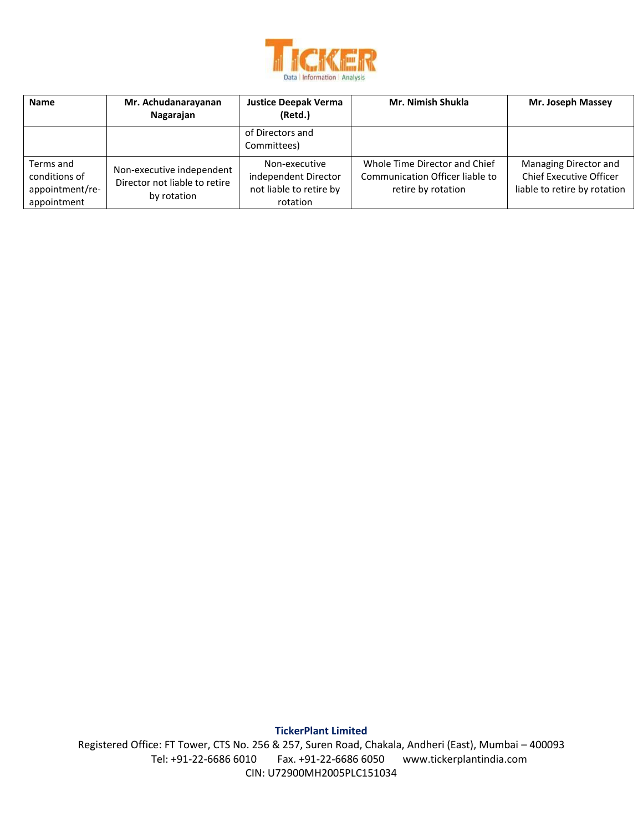

| <b>Name</b>                                                  | Mr. Achudanarayanan<br>Nagarajan                                          | <b>Justice Deepak Verma</b><br>(Retd.)                                       | Mr. Nimish Shukla                                                                      | Mr. Joseph Massey                                                                |
|--------------------------------------------------------------|---------------------------------------------------------------------------|------------------------------------------------------------------------------|----------------------------------------------------------------------------------------|----------------------------------------------------------------------------------|
|                                                              |                                                                           | of Directors and<br>Committees)                                              |                                                                                        |                                                                                  |
| Terms and<br>conditions of<br>appointment/re-<br>appointment | Non-executive independent<br>Director not liable to retire<br>by rotation | Non-executive<br>independent Director<br>not liable to retire by<br>rotation | Whole Time Director and Chief<br>Communication Officer liable to<br>retire by rotation | Managing Director and<br>Chief Executive Officer<br>liable to retire by rotation |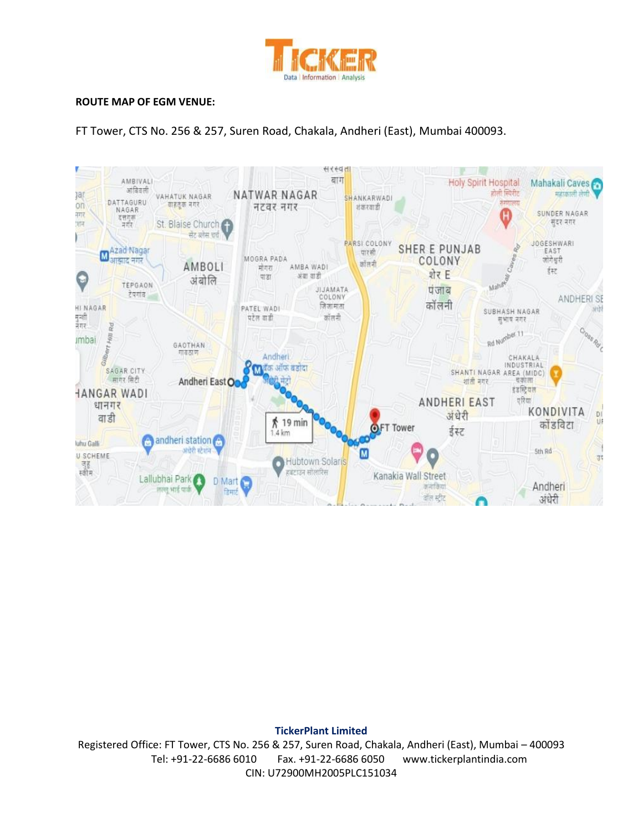

#### **ROUTE MAP OF EGM VENUE:**

FT Tower, CTS No. 256 & 257, Suren Road, Chakala, Andheri (East), Mumbai 400093.



**TickerPlant Limited**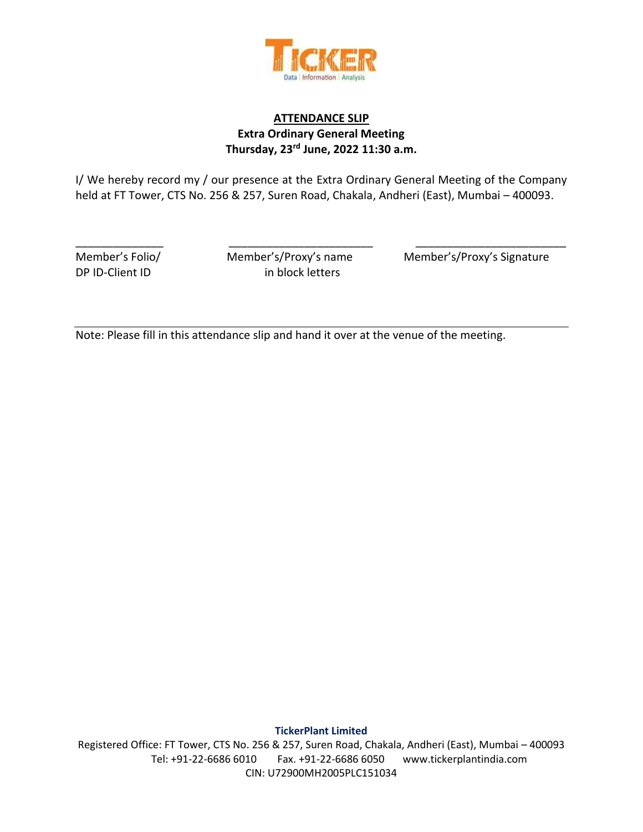

# **ATTENDANCE SLIP Extra Ordinary General Meeting Thursday, 23rd June, 2022 11:30 a.m.**

I/ We hereby record my / our presence at the Extra Ordinary General Meeting of the Company held at FT Tower, CTS No. 256 & 257, Suren Road, Chakala, Andheri (East), Mumbai – 400093.

\_\_\_\_\_\_\_\_\_\_\_\_\_\_ \_\_\_\_\_\_\_\_\_\_\_\_\_\_\_\_\_\_\_\_\_\_\_ \_\_\_\_\_\_\_\_\_\_\_\_\_\_\_\_\_\_\_\_\_\_\_\_

DP ID-Client ID in block letters

Member's Folio/ Member's/Proxy's name Member's/Proxy's Signature

Note: Please fill in this attendance slip and hand it over at the venue of the meeting.

**TickerPlant Limited**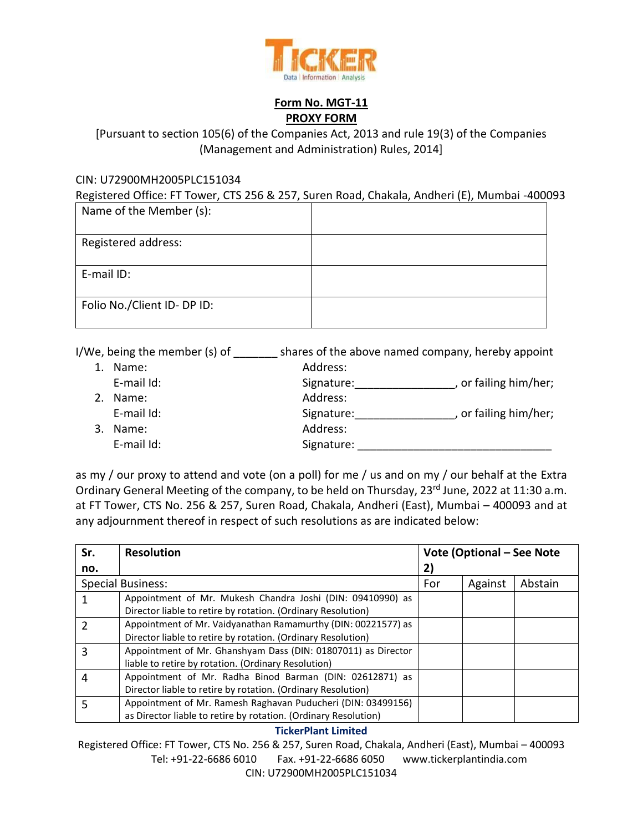

## **Form No. MGT-11 PROXY FORM**

# [Pursuant to section 105(6) of the Companies Act, 2013 and rule 19(3) of the Companies (Management and Administration) Rules, 2014]

### CIN: U72900MH2005PLC151034

Registered Office: FT Tower, CTS 256 & 257, Suren Road, Chakala, Andheri (E), Mumbai -400093

| Name of the Member (s):     |  |
|-----------------------------|--|
| Registered address:         |  |
| E-mail ID:                  |  |
| Folio No./Client ID- DP ID: |  |

I/We, being the member (s) of \_\_\_\_\_\_\_ shares of the above named company, hereby appoint

| $1_{\cdot}$ | Name:      | Address:   |                     |
|-------------|------------|------------|---------------------|
|             | E-mail Id: | Signature: | or failing him/her; |
| 2.          | Name:      | Address:   |                     |
|             | E-mail Id: | Signature: | or failing him/her; |
| 3.          | Name:      | Address:   |                     |
|             | E-mail Id: | Signature: |                     |
|             |            |            |                     |

as my / our proxy to attend and vote (on a poll) for me / us and on my / our behalf at the Extra Ordinary General Meeting of the company, to be held on Thursday, 23<sup>rd</sup> June, 2022 at 11:30 a.m. at FT Tower, CTS No. 256 & 257, Suren Road, Chakala, Andheri (East), Mumbai – 400093 and at any adjournment thereof in respect of such resolutions as are indicated below:

| Sr. | <b>Resolution</b>                                               | Vote (Optional – See Note |         |         |
|-----|-----------------------------------------------------------------|---------------------------|---------|---------|
| no. |                                                                 | 2)                        |         |         |
|     | <b>Special Business:</b>                                        | For                       | Against | Abstain |
|     | Appointment of Mr. Mukesh Chandra Joshi (DIN: 09410990) as      |                           |         |         |
|     | Director liable to retire by rotation. (Ordinary Resolution)    |                           |         |         |
|     | Appointment of Mr. Vaidyanathan Ramamurthy (DIN: 00221577) as   |                           |         |         |
|     | Director liable to retire by rotation. (Ordinary Resolution)    |                           |         |         |
| 3   | Appointment of Mr. Ghanshyam Dass (DIN: 01807011) as Director   |                           |         |         |
|     | liable to retire by rotation. (Ordinary Resolution)             |                           |         |         |
| 4   | Appointment of Mr. Radha Binod Barman (DIN: 02612871) as        |                           |         |         |
|     | Director liable to retire by rotation. (Ordinary Resolution)    |                           |         |         |
| 5   | Appointment of Mr. Ramesh Raghavan Puducheri (DIN: 03499156)    |                           |         |         |
|     | as Director liable to retire by rotation. (Ordinary Resolution) |                           |         |         |

### **TickerPlant Limited**